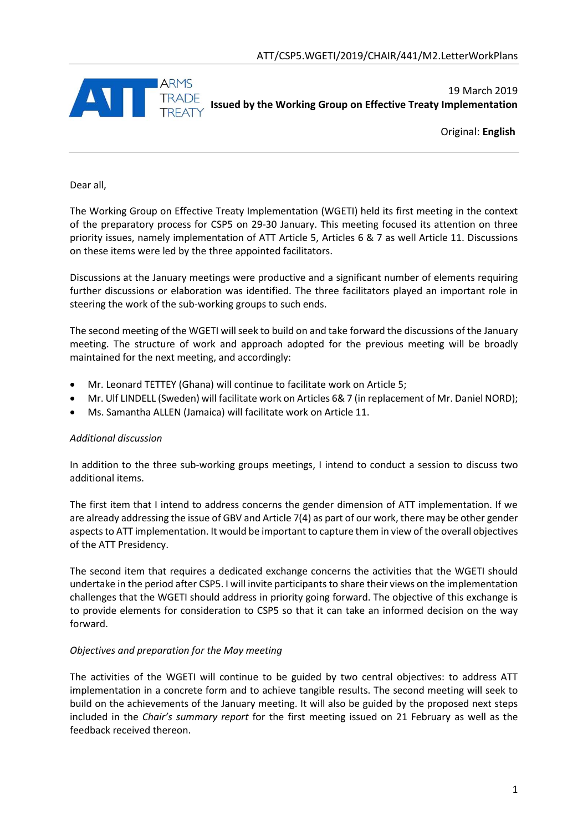

19 March 2019 **Issued by the Working Group on Effective Treaty Implementation**

Original: **English**

Dear all,

The Working Group on Effective Treaty Implementation (WGETI) held its first meeting in the context of the preparatory process for CSP5 on 29-30 January. This meeting focused its attention on three priority issues, namely implementation of ATT Article 5, Articles 6 & 7 as well Article 11. Discussions on these items were led by the three appointed facilitators.

Discussions at the January meetings were productive and a significant number of elements requiring further discussions or elaboration was identified. The three facilitators played an important role in steering the work of the sub-working groups to such ends.

The second meeting of the WGETI will seek to build on and take forward the discussions of the January meeting. The structure of work and approach adopted for the previous meeting will be broadly maintained for the next meeting, and accordingly:

- Mr. Leonard TETTEY (Ghana) will continue to facilitate work on Article 5;
- Mr. Ulf LINDELL (Sweden) will facilitate work on Articles 6& 7 (in replacement of Mr. Daniel NORD);
- Ms. Samantha ALLEN (Jamaica) will facilitate work on Article 11.

## *Additional discussion*

In addition to the three sub-working groups meetings, I intend to conduct a session to discuss two additional items.

The first item that I intend to address concerns the gender dimension of ATT implementation. If we are already addressing the issue of GBV and Article 7(4) as part of our work, there may be other gender aspects to ATT implementation. It would be important to capture them in view of the overall objectives of the ATT Presidency.

The second item that requires a dedicated exchange concerns the activities that the WGETI should undertake in the period after CSP5. I will invite participants to share their views on the implementation challenges that the WGETI should address in priority going forward. The objective of this exchange is to provide elements for consideration to CSP5 so that it can take an informed decision on the way forward.

## *Objectives and preparation for the May meeting*

The activities of the WGETI will continue to be guided by two central objectives: to address ATT implementation in a concrete form and to achieve tangible results. The second meeting will seek to build on the achievements of the January meeting. It will also be guided by the proposed next steps included in the *Chair's summary report* for the first meeting issued on 21 February as well as the feedback received thereon.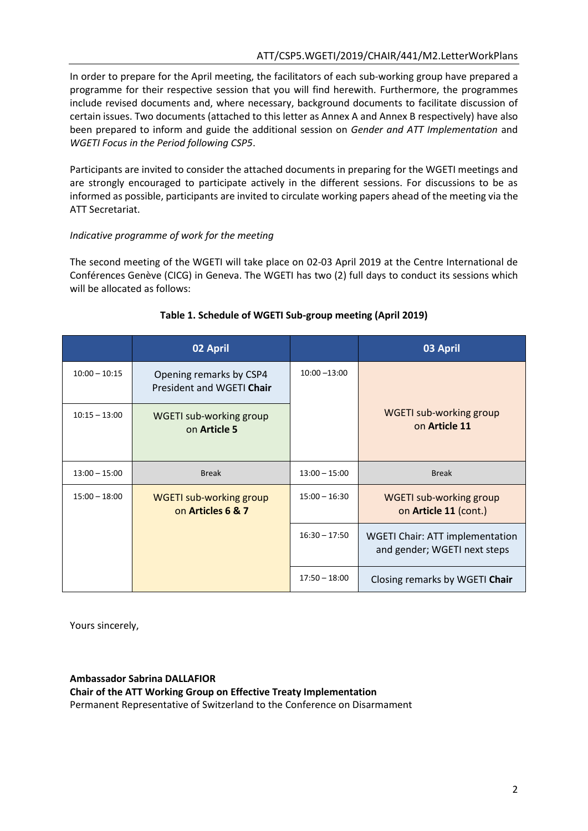In order to prepare for the April meeting, the facilitators of each sub-working group have prepared a programme for their respective session that you will find herewith. Furthermore, the programmes include revised documents and, where necessary, background documents to facilitate discussion of certain issues. Two documents (attached to this letter as Annex A and Annex B respectively) have also been prepared to inform and guide the additional session on *Gender and ATT Implementation* and *WGETI Focus in the Period following CSP5*.

Participants are invited to consider the attached documents in preparing for the WGETI meetings and are strongly encouraged to participate actively in the different sessions. For discussions to be as informed as possible, participants are invited to circulate working papers ahead of the meeting via the ATT Secretariat.

### *Indicative programme of work for the meeting*

The second meeting of the WGETI will take place on 02-03 April 2019 at the Centre International de Conférences Genève (CICG) in Geneva. The WGETI has two (2) full days to conduct its sessions which will be allocated as follows:

|                 | 02 April                                             |                 | 03 April                                                               |
|-----------------|------------------------------------------------------|-----------------|------------------------------------------------------------------------|
| $10:00 - 10:15$ | Opening remarks by CSP4<br>President and WGETI Chair | $10:00 - 13:00$ |                                                                        |
| $10:15 - 13:00$ | WGETI sub-working group<br>on Article 5              |                 | <b>WGETI sub-working group</b><br>on Article 11                        |
| $13:00 - 15:00$ | <b>Break</b>                                         | $13:00 - 15:00$ | <b>Break</b>                                                           |
| $15:00 - 18:00$ | <b>WGETI sub-working group</b><br>on Articles 6 & 7  | $15:00 - 16:30$ | <b>WGETI sub-working group</b><br>on Article 11 (cont.)                |
|                 |                                                      | $16:30 - 17:50$ | <b>WGETI Chair: ATT implementation</b><br>and gender; WGETI next steps |
|                 |                                                      | $17:50 - 18:00$ | Closing remarks by WGETI Chair                                         |

## **Table 1. Schedule of WGETI Sub-group meeting (April 2019)**

Yours sincerely,

#### **Ambassador Sabrina DALLAFIOR**

**Chair of the ATT Working Group on Effective Treaty Implementation**

Permanent Representative of Switzerland to the Conference on Disarmament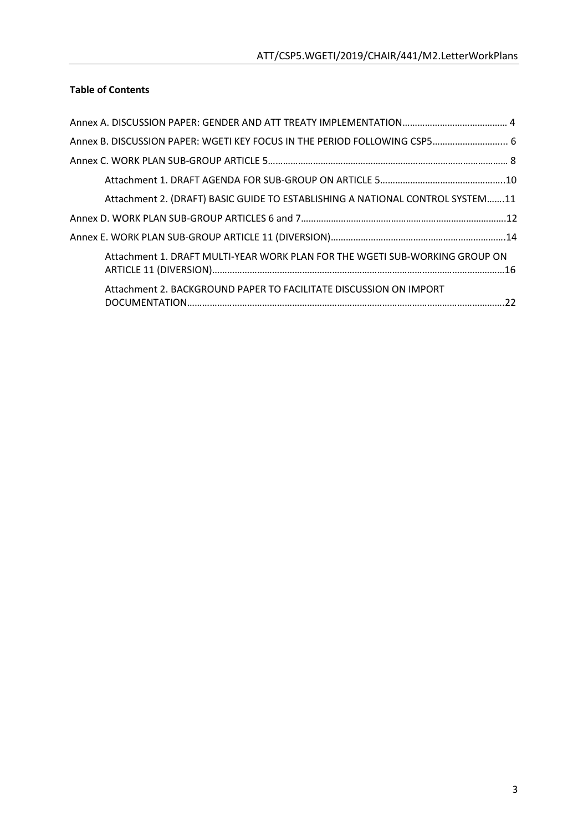## **Table of Contents**

| Annex B. DISCUSSION PAPER: WGETI KEY FOCUS IN THE PERIOD FOLLOWING CSP5 6     |
|-------------------------------------------------------------------------------|
|                                                                               |
|                                                                               |
| Attachment 2. (DRAFT) BASIC GUIDE TO ESTABLISHING A NATIONAL CONTROL SYSTEM11 |
|                                                                               |
|                                                                               |
| Attachment 1. DRAFT MULTI-YEAR WORK PLAN FOR THE WGETI SUB-WORKING GROUP ON   |
| Attachment 2. BACKGROUND PAPER TO FACILITATE DISCUSSION ON IMPORT             |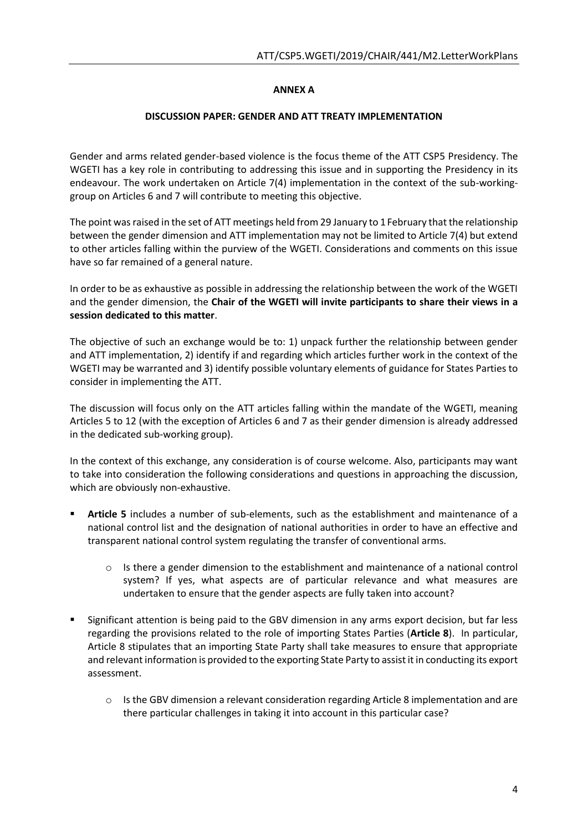## **ANNEX A**

### **DISCUSSION PAPER: GENDER AND ATT TREATY IMPLEMENTATION**

Gender and arms related gender-based violence is the focus theme of the ATT CSP5 Presidency. The WGETI has a key role in contributing to addressing this issue and in supporting the Presidency in its endeavour. The work undertaken on Article 7(4) implementation in the context of the sub-workinggroup on Articles 6 and 7 will contribute to meeting this objective.

The point was raised in the set of ATT meetings held from 29 January to 1February that the relationship between the gender dimension and ATT implementation may not be limited to Article 7(4) but extend to other articles falling within the purview of the WGETI. Considerations and comments on this issue have so far remained of a general nature.

In order to be as exhaustive as possible in addressing the relationship between the work of the WGETI and the gender dimension, the **Chair of the WGETI will invite participants to share their views in a session dedicated to this matter**.

The objective of such an exchange would be to: 1) unpack further the relationship between gender and ATT implementation, 2) identify if and regarding which articles further work in the context of the WGETI may be warranted and 3) identify possible voluntary elements of guidance for States Parties to consider in implementing the ATT.

The discussion will focus only on the ATT articles falling within the mandate of the WGETI, meaning Articles 5 to 12 (with the exception of Articles 6 and 7 as their gender dimension is already addressed in the dedicated sub-working group).

In the context of this exchange, any consideration is of course welcome. Also, participants may want to take into consideration the following considerations and questions in approaching the discussion, which are obviously non-exhaustive.

- **Article 5** includes a number of sub-elements, such as the establishment and maintenance of a national control list and the designation of national authorities in order to have an effective and transparent national control system regulating the transfer of conventional arms.
	- $\circ$  Is there a gender dimension to the establishment and maintenance of a national control system? If yes, what aspects are of particular relevance and what measures are undertaken to ensure that the gender aspects are fully taken into account?
- Significant attention is being paid to the GBV dimension in any arms export decision, but far less regarding the provisions related to the role of importing States Parties (**Article 8**). In particular, Article 8 stipulates that an importing State Party shall take measures to ensure that appropriate and relevant information is provided to the exporting State Party to assist it in conducting its export assessment.
	- $\circ$  Is the GBV dimension a relevant consideration regarding Article 8 implementation and are there particular challenges in taking it into account in this particular case?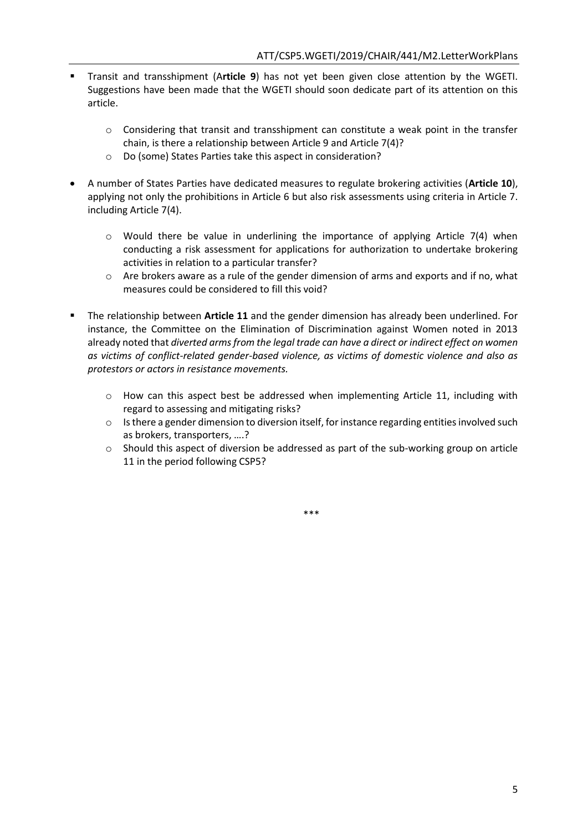- Transit and transshipment (A**rticle 9**) has not yet been given close attention by the WGETI. Suggestions have been made that the WGETI should soon dedicate part of its attention on this article.
	- $\circ$  Considering that transit and transshipment can constitute a weak point in the transfer chain, is there a relationship between Article 9 and Article 7(4)?
	- o Do (some) States Parties take this aspect in consideration?
- A number of States Parties have dedicated measures to regulate brokering activities (**Article 10**), applying not only the prohibitions in Article 6 but also risk assessments using criteria in Article 7. including Article 7(4).
	- $\circ$  Would there be value in underlining the importance of applying Article 7(4) when conducting a risk assessment for applications for authorization to undertake brokering activities in relation to a particular transfer?
	- $\circ$  Are brokers aware as a rule of the gender dimension of arms and exports and if no, what measures could be considered to fill this void?
- The relationship between **Article 11** and the gender dimension has already been underlined. For instance, the Committee on the Elimination of Discrimination against Women noted in 2013 already noted that *diverted arms from the legal trade can have a direct or indirect effect on women as victims of conflict-related gender-based violence, as victims of domestic violence and also as protestors or actors in resistance movements.*
	- $\circ$  How can this aspect best be addressed when implementing Article 11, including with regard to assessing and mitigating risks?
	- $\circ$  Is there a gender dimension to diversion itself, for instance regarding entities involved such as brokers, transporters, ….?
	- $\circ$  Should this aspect of diversion be addressed as part of the sub-working group on article 11 in the period following CSP5?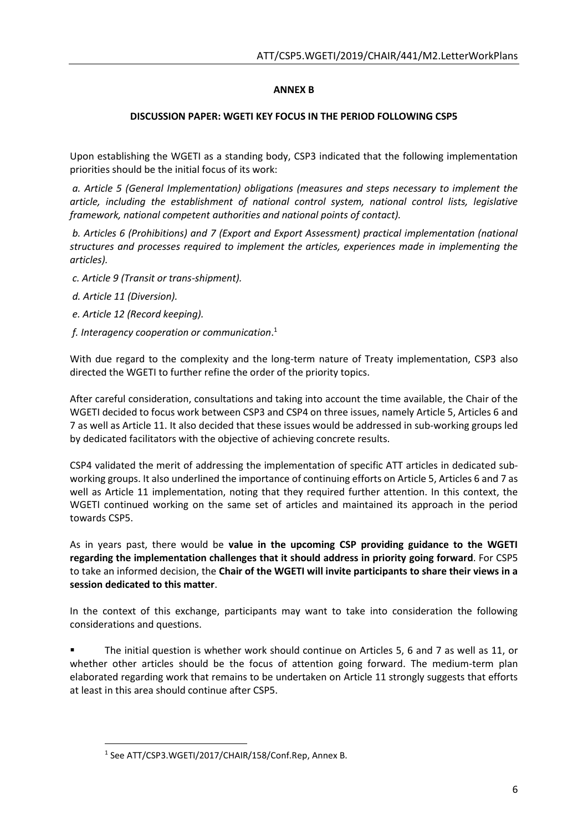## **ANNEX B**

## **DISCUSSION PAPER: WGETI KEY FOCUS IN THE PERIOD FOLLOWING CSP5**

Upon establishing the WGETI as a standing body, CSP3 indicated that the following implementation priorities should be the initial focus of its work:

*a. Article 5 (General Implementation) obligations (measures and steps necessary to implement the article, including the establishment of national control system, national control lists, legislative framework, national competent authorities and national points of contact).* 

*b. Articles 6 (Prohibitions) and 7 (Export and Export Assessment) practical implementation (national structures and processes required to implement the articles, experiences made in implementing the articles).* 

- *c. Article 9 (Transit or trans-shipment).*
- *d. Article 11 (Diversion).*

 $\overline{a}$ 

- *e. Article 12 (Record keeping).*
- *f. Interagency cooperation or communication*. 1

With due regard to the complexity and the long-term nature of Treaty implementation, CSP3 also directed the WGETI to further refine the order of the priority topics.

After careful consideration, consultations and taking into account the time available, the Chair of the WGETI decided to focus work between CSP3 and CSP4 on three issues, namely Article 5, Articles 6 and 7 as well as Article 11. It also decided that these issues would be addressed in sub-working groups led by dedicated facilitators with the objective of achieving concrete results.

CSP4 validated the merit of addressing the implementation of specific ATT articles in dedicated subworking groups. It also underlined the importance of continuing efforts on Article 5, Articles 6 and 7 as well as Article 11 implementation, noting that they required further attention. In this context, the WGETI continued working on the same set of articles and maintained its approach in the period towards CSP5.

As in years past, there would be **value in the upcoming CSP providing guidance to the WGETI regarding the implementation challenges that it should address in priority going forward**. For CSP5 to take an informed decision, the **Chair of the WGETI will invite participants to share their views in a session dedicated to this matter**.

In the context of this exchange, participants may want to take into consideration the following considerations and questions.

 The initial question is whether work should continue on Articles 5, 6 and 7 as well as 11, or whether other articles should be the focus of attention going forward. The medium-term plan elaborated regarding work that remains to be undertaken on Article 11 strongly suggests that efforts at least in this area should continue after CSP5.

<sup>&</sup>lt;sup>1</sup> See ATT/CSP3.WGETI/2017/CHAIR/158/Conf.Rep, Annex B.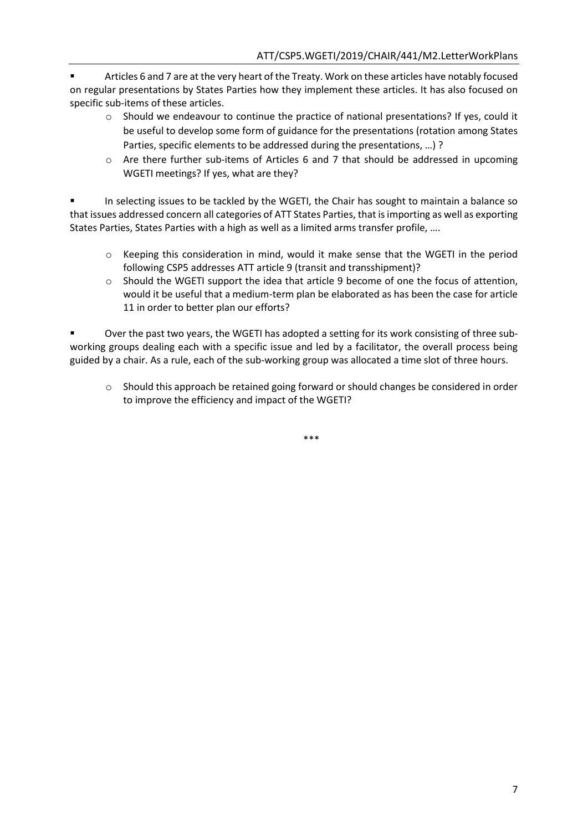Articles 6 and 7 are at the very heart of the Treaty. Work on these articles have notably focused on regular presentations by States Parties how they implement these articles. It has also focused on specific sub-items of these articles.

- $\circ$  Should we endeavour to continue the practice of national presentations? If yes, could it be useful to develop some form of guidance for the presentations (rotation among States Parties, specific elements to be addressed during the presentations, …) ?
- o Are there further sub-items of Articles 6 and 7 that should be addressed in upcoming WGETI meetings? If yes, what are they?

 In selecting issues to be tackled by the WGETI, the Chair has sought to maintain a balance so that issues addressed concern all categories of ATT States Parties, that is importing as well as exporting States Parties, States Parties with a high as well as a limited arms transfer profile, ….

- $\circ$  Keeping this consideration in mind, would it make sense that the WGETI in the period following CSP5 addresses ATT article 9 (transit and transshipment)?
- o Should the WGETI support the idea that article 9 become of one the focus of attention, would it be useful that a medium-term plan be elaborated as has been the case for article 11 in order to better plan our efforts?

 Over the past two years, the WGETI has adopted a setting for its work consisting of three subworking groups dealing each with a specific issue and led by a facilitator, the overall process being guided by a chair. As a rule, each of the sub-working group was allocated a time slot of three hours.

o Should this approach be retained going forward or should changes be considered in order to improve the efficiency and impact of the WGETI?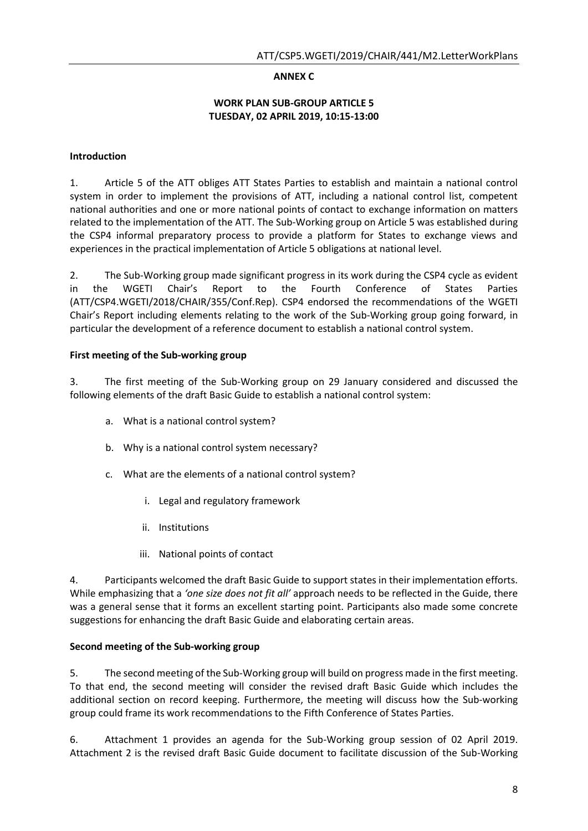## **ANNEX C**

### **WORK PLAN SUB-GROUP ARTICLE 5 TUESDAY, 02 APRIL 2019, 10:15-13:00**

## **Introduction**

1. Article 5 of the ATT obliges ATT States Parties to establish and maintain a national control system in order to implement the provisions of ATT, including a national control list, competent national authorities and one or more national points of contact to exchange information on matters related to the implementation of the ATT. The Sub-Working group on Article 5 was established during the CSP4 informal preparatory process to provide a platform for States to exchange views and experiences in the practical implementation of Article 5 obligations at national level.

2. The Sub-Working group made significant progress in its work during the CSP4 cycle as evident in the WGETI Chair's Report to the Fourth Conference of States Parties (ATT/CSP4.WGETI/2018/CHAIR/355/Conf.Rep). CSP4 endorsed the recommendations of the WGETI Chair's Report including elements relating to the work of the Sub-Working group going forward, in particular the development of a reference document to establish a national control system.

### **First meeting of the Sub-working group**

3. The first meeting of the Sub-Working group on 29 January considered and discussed the following elements of the draft Basic Guide to establish a national control system:

- a. What is a national control system?
- b. Why is a national control system necessary?
- c. What are the elements of a national control system?
	- i. Legal and regulatory framework
	- ii. Institutions
	- iii. National points of contact

4. Participants welcomed the draft Basic Guide to support states in their implementation efforts. While emphasizing that a *'one size does not fit all'* approach needs to be reflected in the Guide, there was a general sense that it forms an excellent starting point. Participants also made some concrete suggestions for enhancing the draft Basic Guide and elaborating certain areas.

#### **Second meeting of the Sub-working group**

5. The second meeting of the Sub-Working group will build on progress made in the first meeting. To that end, the second meeting will consider the revised draft Basic Guide which includes the additional section on record keeping. Furthermore, the meeting will discuss how the Sub-working group could frame its work recommendations to the Fifth Conference of States Parties.

6. Attachment 1 provides an agenda for the Sub-Working group session of 02 April 2019. Attachment 2 is the revised draft Basic Guide document to facilitate discussion of the Sub-Working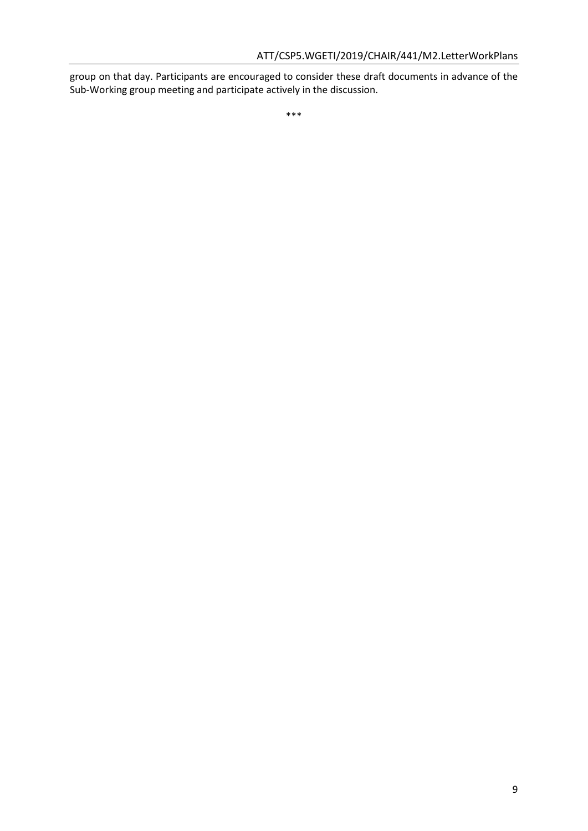group on that day. Participants are encouraged to consider these draft documents in advance of the Sub-Working group meeting and participate actively in the discussion.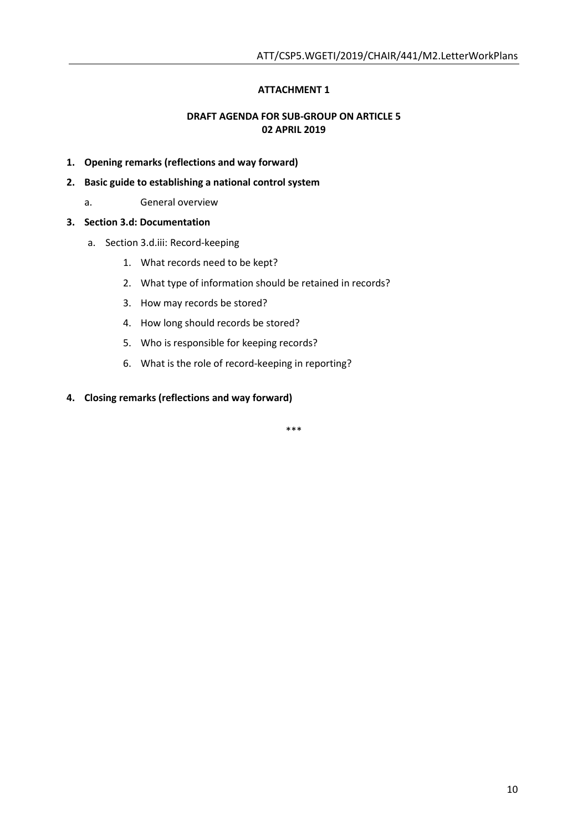## **ATTACHMENT 1**

## **DRAFT AGENDA FOR SUB-GROUP ON ARTICLE 5 02 APRIL 2019**

- **1. Opening remarks (reflections and way forward)**
- **2. Basic guide to establishing a national control system** 
	- a. General overview

#### **3. Section 3.d: Documentation**

- a. Section 3.d.iii: Record-keeping
	- 1. What records need to be kept?
	- 2. What type of information should be retained in records?
	- 3. How may records be stored?
	- 4. How long should records be stored?
	- 5. Who is responsible for keeping records?
	- 6. What is the role of record-keeping in reporting?

#### **4. Closing remarks (reflections and way forward)**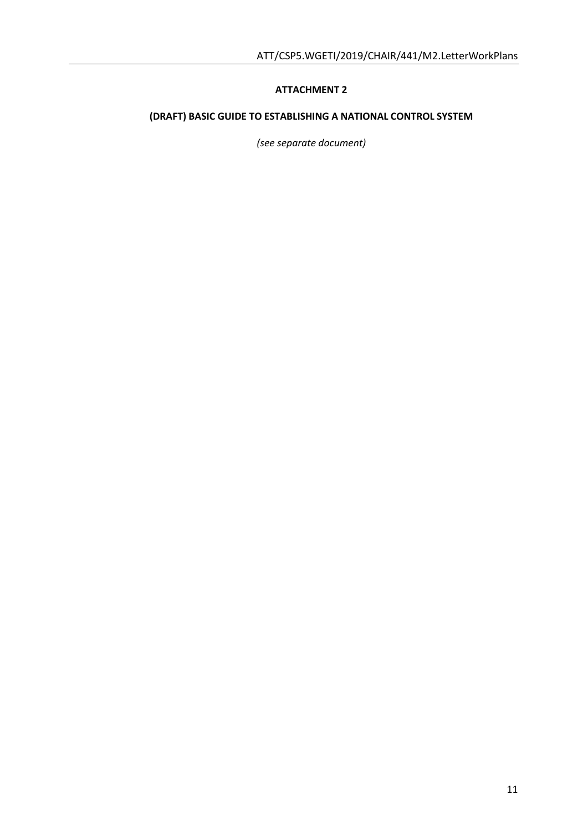## **ATTACHMENT 2**

# **(DRAFT) BASIC GUIDE TO ESTABLISHING A NATIONAL CONTROL SYSTEM**

*(see separate document)*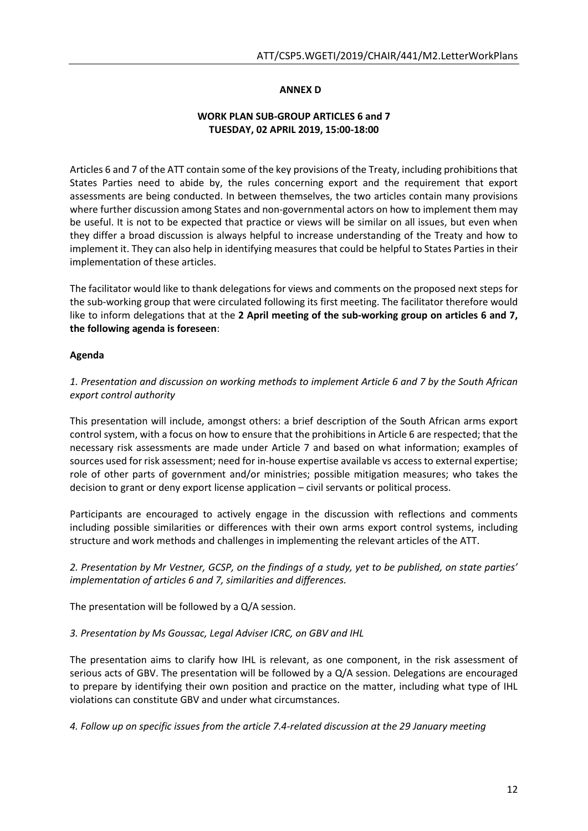### **ANNEX D**

## **WORK PLAN SUB-GROUP ARTICLES 6 and 7 TUESDAY, 02 APRIL 2019, 15:00-18:00**

Articles 6 and 7 of the ATT contain some of the key provisions of the Treaty, including prohibitions that States Parties need to abide by, the rules concerning export and the requirement that export assessments are being conducted. In between themselves, the two articles contain many provisions where further discussion among States and non-governmental actors on how to implement them may be useful. It is not to be expected that practice or views will be similar on all issues, but even when they differ a broad discussion is always helpful to increase understanding of the Treaty and how to implement it. They can also help in identifying measures that could be helpful to States Parties in their implementation of these articles.

The facilitator would like to thank delegations for views and comments on the proposed next steps for the sub-working group that were circulated following its first meeting. The facilitator therefore would like to inform delegations that at the **2 April meeting of the sub-working group on articles 6 and 7, the following agenda is foreseen**:

## **Agenda**

*1. Presentation and discussion on working methods to implement Article 6 and 7 by the South African export control authority* 

This presentation will include, amongst others: a brief description of the South African arms export control system, with a focus on how to ensure that the prohibitions in Article 6 are respected; that the necessary risk assessments are made under Article 7 and based on what information; examples of sources used for risk assessment; need for in-house expertise available vs access to external expertise; role of other parts of government and/or ministries; possible mitigation measures; who takes the decision to grant or deny export license application – civil servants or political process.

Participants are encouraged to actively engage in the discussion with reflections and comments including possible similarities or differences with their own arms export control systems, including structure and work methods and challenges in implementing the relevant articles of the ATT.

*2. Presentation by Mr Vestner, GCSP, on the findings of a study, yet to be published, on state parties' implementation of articles 6 and 7, similarities and differences.*

The presentation will be followed by a Q/A session.

#### *3. Presentation by Ms Goussac, Legal Adviser ICRC, on GBV and IHL*

The presentation aims to clarify how IHL is relevant, as one component, in the risk assessment of serious acts of GBV. The presentation will be followed by a Q/A session. Delegations are encouraged to prepare by identifying their own position and practice on the matter, including what type of IHL violations can constitute GBV and under what circumstances.

*4. Follow up on specific issues from the article 7.4-related discussion at the 29 January meeting*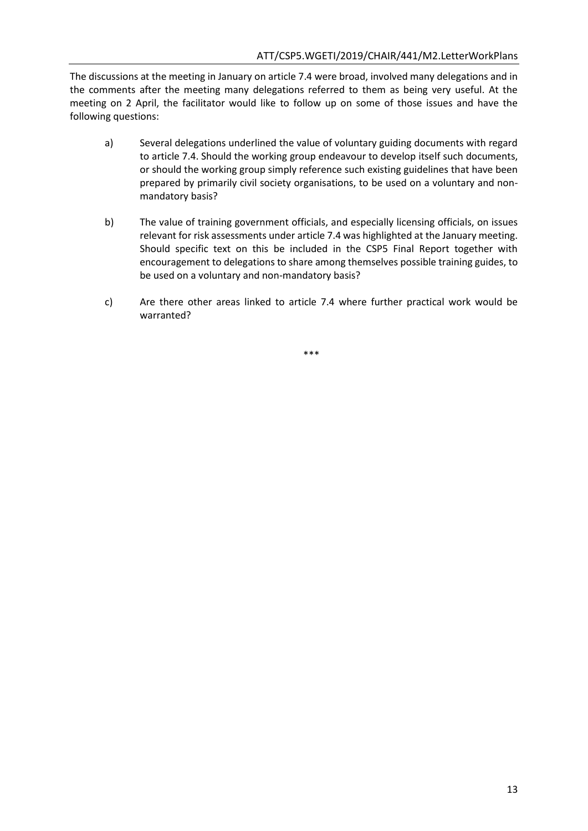The discussions at the meeting in January on article 7.4 were broad, involved many delegations and in the comments after the meeting many delegations referred to them as being very useful. At the meeting on 2 April, the facilitator would like to follow up on some of those issues and have the following questions:

- a) Several delegations underlined the value of voluntary guiding documents with regard to article 7.4. Should the working group endeavour to develop itself such documents, or should the working group simply reference such existing guidelines that have been prepared by primarily civil society organisations, to be used on a voluntary and nonmandatory basis?
- b) The value of training government officials, and especially licensing officials, on issues relevant for risk assessments under article 7.4 was highlighted at the January meeting. Should specific text on this be included in the CSP5 Final Report together with encouragement to delegations to share among themselves possible training guides, to be used on a voluntary and non-mandatory basis?
- c) Are there other areas linked to article 7.4 where further practical work would be warranted?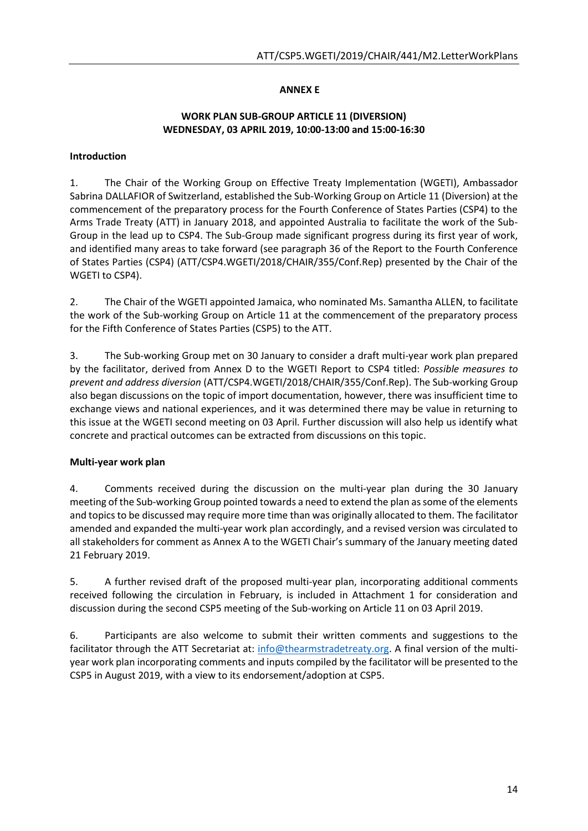## **ANNEX E**

### **WORK PLAN SUB-GROUP ARTICLE 11 (DIVERSION) WEDNESDAY, 03 APRIL 2019, 10:00-13:00 and 15:00-16:30**

### **Introduction**

1. The Chair of the Working Group on Effective Treaty Implementation (WGETI), Ambassador Sabrina DALLAFIOR of Switzerland, established the Sub-Working Group on Article 11 (Diversion) at the commencement of the preparatory process for the Fourth Conference of States Parties (CSP4) to the Arms Trade Treaty (ATT) in January 2018, and appointed Australia to facilitate the work of the Sub-Group in the lead up to CSP4. The Sub-Group made significant progress during its first year of work, and identified many areas to take forward (see paragraph 36 of the Report to the Fourth Conference of States Parties (CSP4) (ATT/CSP4.WGETI/2018/CHAIR/355/Conf.Rep) presented by the Chair of the WGETI to CSP4).

2. The Chair of the WGETI appointed Jamaica, who nominated Ms. Samantha ALLEN, to facilitate the work of the Sub-working Group on Article 11 at the commencement of the preparatory process for the Fifth Conference of States Parties (CSP5) to the ATT.

3. The Sub-working Group met on 30 January to consider a draft multi-year work plan prepared by the facilitator, derived from Annex D to the WGETI Report to CSP4 titled: *Possible measures to prevent and address diversion* (ATT/CSP4.WGETI/2018/CHAIR/355/Conf.Rep). The Sub-working Group also began discussions on the topic of import documentation, however, there was insufficient time to exchange views and national experiences, and it was determined there may be value in returning to this issue at the WGETI second meeting on 03 April. Further discussion will also help us identify what concrete and practical outcomes can be extracted from discussions on this topic.

## **Multi-year work plan**

4. Comments received during the discussion on the multi-year plan during the 30 January meeting of the Sub-working Group pointed towards a need to extend the plan as some of the elements and topics to be discussed may require more time than was originally allocated to them. The facilitator amended and expanded the multi-year work plan accordingly, and a revised version was circulated to all stakeholders for comment as Annex A to the WGETI Chair's summary of the January meeting dated 21 February 2019.

5. A further revised draft of the proposed multi-year plan, incorporating additional comments received following the circulation in February, is included in Attachment 1 for consideration and discussion during the second CSP5 meeting of the Sub-working on Article 11 on 03 April 2019.

6. Participants are also welcome to submit their written comments and suggestions to the facilitator through the ATT Secretariat at: [info@thearmstradetreaty.org.](mailto:info@thearmstradetreaty.org) A final version of the multiyear work plan incorporating comments and inputs compiled by the facilitator will be presented to the CSP5 in August 2019, with a view to its endorsement/adoption at CSP5.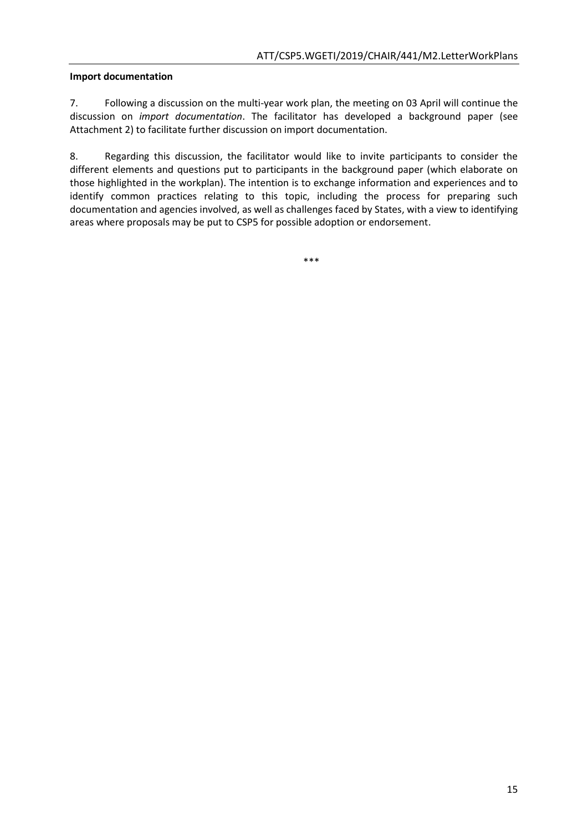### **Import documentation**

7. Following a discussion on the multi-year work plan, the meeting on 03 April will continue the discussion on *import documentation*. The facilitator has developed a background paper (see Attachment 2) to facilitate further discussion on import documentation.

8. Regarding this discussion, the facilitator would like to invite participants to consider the different elements and questions put to participants in the background paper (which elaborate on those highlighted in the workplan). The intention is to exchange information and experiences and to identify common practices relating to this topic, including the process for preparing such documentation and agencies involved, as well as challenges faced by States, with a view to identifying areas where proposals may be put to CSP5 for possible adoption or endorsement.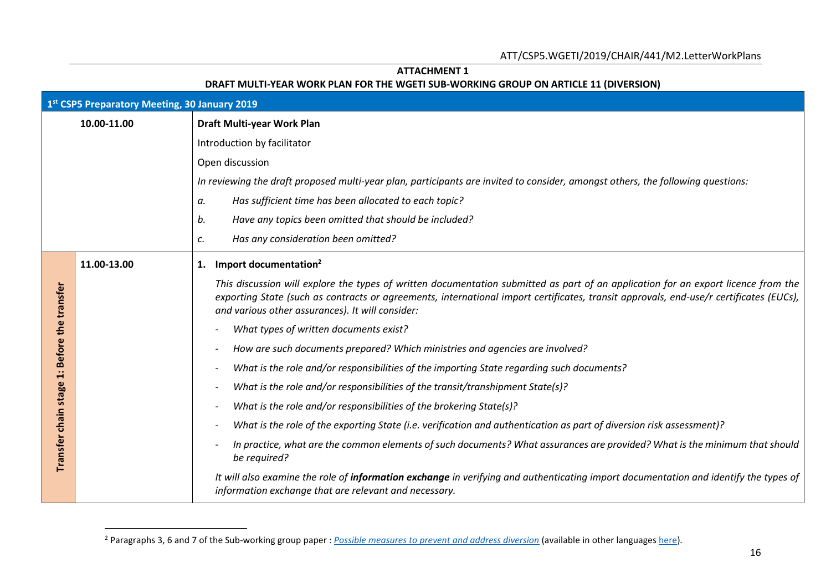## **ATTACHMENT 1**

### **DRAFT MULTI-YEAR WORK PLAN FOR THE WGETI SUB-WORKING GROUP ON ARTICLE 11 (DIVERSION)**

|                     | 1st CSP5 Preparatory Meeting, 30 January 2019 |                                                                                                                                                                                                                                                                                                                                  |  |  |
|---------------------|-----------------------------------------------|----------------------------------------------------------------------------------------------------------------------------------------------------------------------------------------------------------------------------------------------------------------------------------------------------------------------------------|--|--|
|                     | 10.00-11.00                                   | Draft Multi-year Work Plan                                                                                                                                                                                                                                                                                                       |  |  |
|                     |                                               | Introduction by facilitator                                                                                                                                                                                                                                                                                                      |  |  |
|                     |                                               | Open discussion                                                                                                                                                                                                                                                                                                                  |  |  |
|                     |                                               | In reviewing the draft proposed multi-year plan, participants are invited to consider, amongst others, the following questions:                                                                                                                                                                                                  |  |  |
|                     |                                               | Has sufficient time has been allocated to each topic?<br>а.                                                                                                                                                                                                                                                                      |  |  |
|                     |                                               | b.<br>Have any topics been omitted that should be included?                                                                                                                                                                                                                                                                      |  |  |
|                     |                                               | Has any consideration been omitted?<br>c.                                                                                                                                                                                                                                                                                        |  |  |
|                     | 11.00-13.00                                   | Import documentation <sup>2</sup><br>1.                                                                                                                                                                                                                                                                                          |  |  |
| Before the transfer |                                               | This discussion will explore the types of written documentation submitted as part of an application for an export licence from the<br>exporting State (such as contracts or agreements, international import certificates, transit approvals, end-use/r certificates (EUCs),<br>and various other assurances). It will consider: |  |  |
|                     |                                               | What types of written documents exist?                                                                                                                                                                                                                                                                                           |  |  |
|                     |                                               | How are such documents prepared? Which ministries and agencies are involved?                                                                                                                                                                                                                                                     |  |  |
| ä                   |                                               | What is the role and/or responsibilities of the importing State regarding such documents?                                                                                                                                                                                                                                        |  |  |
| stage               |                                               | What is the role and/or responsibilities of the transit/transhipment State(s)?                                                                                                                                                                                                                                                   |  |  |
|                     |                                               | What is the role and/or responsibilities of the brokering State(s)?                                                                                                                                                                                                                                                              |  |  |
| Transfer chain      |                                               | What is the role of the exporting State (i.e. verification and authentication as part of diversion risk assessment)?                                                                                                                                                                                                             |  |  |
|                     |                                               | In practice, what are the common elements of such documents? What assurances are provided? What is the minimum that should<br>be required?                                                                                                                                                                                       |  |  |
|                     |                                               | It will also examine the role of <i>information exchange</i> in verifying and authenticating import documentation and identify the types of<br>information exchange that are relevant and necessary.                                                                                                                             |  |  |

<sup>2</sup> Paragraphs 3, 6 and 7 of the Sub-working group paper : *[Possible measures to prevent and address diversion](https://www.thearmstradetreaty.org/hyper-images/file/Article%2011%20-%20Possible%20measures%20to%20prevent%20and%20address%20diversion/Article%2011%20-%20Possible%20measures%20to%20prevent%20and%20address%20diversion.pdf)* (available in other language[s here\)](https://www.thearmstradetreaty.org/tools-and-guidelines.html)*.*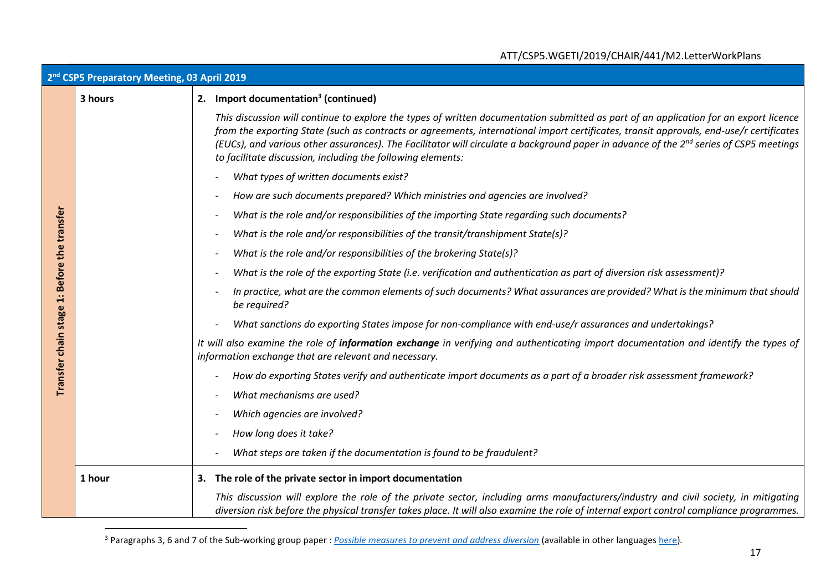|                        | ATT/CSP5.WGETI/2019/CHAIR/441/M2.LetterWorkPlans        |                                                                                                                                                                                                                                                                                                                                                                                                                                                                                                       |
|------------------------|---------------------------------------------------------|-------------------------------------------------------------------------------------------------------------------------------------------------------------------------------------------------------------------------------------------------------------------------------------------------------------------------------------------------------------------------------------------------------------------------------------------------------------------------------------------------------|
|                        | 2 <sup>nd</sup> CSP5 Preparatory Meeting, 03 April 2019 |                                                                                                                                                                                                                                                                                                                                                                                                                                                                                                       |
|                        | 3 hours                                                 | 2. Import documentation <sup>3</sup> (continued)                                                                                                                                                                                                                                                                                                                                                                                                                                                      |
|                        |                                                         | This discussion will continue to explore the types of written documentation submitted as part of an application for an export licence<br>from the exporting State (such as contracts or agreements, international import certificates, transit approvals, end-use/r certificates<br>(EUCs), and various other assurances). The Facilitator will circulate a background paper in advance of the 2 <sup>nd</sup> series of CSP5 meetings<br>to facilitate discussion, including the following elements: |
|                        |                                                         | What types of written documents exist?                                                                                                                                                                                                                                                                                                                                                                                                                                                                |
|                        |                                                         | How are such documents prepared? Which ministries and agencies are involved?                                                                                                                                                                                                                                                                                                                                                                                                                          |
|                        |                                                         | What is the role and/or responsibilities of the importing State regarding such documents?                                                                                                                                                                                                                                                                                                                                                                                                             |
|                        |                                                         | What is the role and/or responsibilities of the transit/transhipment State(s)?                                                                                                                                                                                                                                                                                                                                                                                                                        |
|                        |                                                         | What is the role and/or responsibilities of the brokering State(s)?                                                                                                                                                                                                                                                                                                                                                                                                                                   |
|                        |                                                         | What is the role of the exporting State (i.e. verification and authentication as part of diversion risk assessment)?                                                                                                                                                                                                                                                                                                                                                                                  |
| 1: Before the transfer |                                                         | In practice, what are the common elements of such documents? What assurances are provided? What is the minimum that should<br>be required?                                                                                                                                                                                                                                                                                                                                                            |
|                        |                                                         | What sanctions do exporting States impose for non-compliance with end-use/r assurances and undertakings?                                                                                                                                                                                                                                                                                                                                                                                              |
| Transfer chain stage   |                                                         | It will also examine the role of information exchange in verifying and authenticating import documentation and identify the types of<br>information exchange that are relevant and necessary.                                                                                                                                                                                                                                                                                                         |
|                        |                                                         | How do exporting States verify and authenticate import documents as a part of a broader risk assessment framework?                                                                                                                                                                                                                                                                                                                                                                                    |
|                        |                                                         | What mechanisms are used?                                                                                                                                                                                                                                                                                                                                                                                                                                                                             |
|                        |                                                         | Which agencies are involved?                                                                                                                                                                                                                                                                                                                                                                                                                                                                          |
|                        |                                                         | How long does it take?                                                                                                                                                                                                                                                                                                                                                                                                                                                                                |
|                        |                                                         | What steps are taken if the documentation is found to be fraudulent?                                                                                                                                                                                                                                                                                                                                                                                                                                  |
|                        | 1 hour                                                  | 3. The role of the private sector in import documentation                                                                                                                                                                                                                                                                                                                                                                                                                                             |
|                        |                                                         | This discussion will explore the role of the private sector, including arms manufacturers/industry and civil society, in mitigating<br>diversion risk before the physical transfer takes place. It will also examine the role of internal export control compliance programmes.                                                                                                                                                                                                                       |

<sup>3</sup> Paragraphs 3, 6 and 7 of the Sub-working group paper : *[Possible measures to prevent and address diversion](https://www.thearmstradetreaty.org/hyper-images/file/Article%2011%20-%20Possible%20measures%20to%20prevent%20and%20address%20diversion/Article%2011%20-%20Possible%20measures%20to%20prevent%20and%20address%20diversion.pdf)* (available in other language[s here\)](https://www.thearmstradetreaty.org/tools-and-guidelines.html)*.*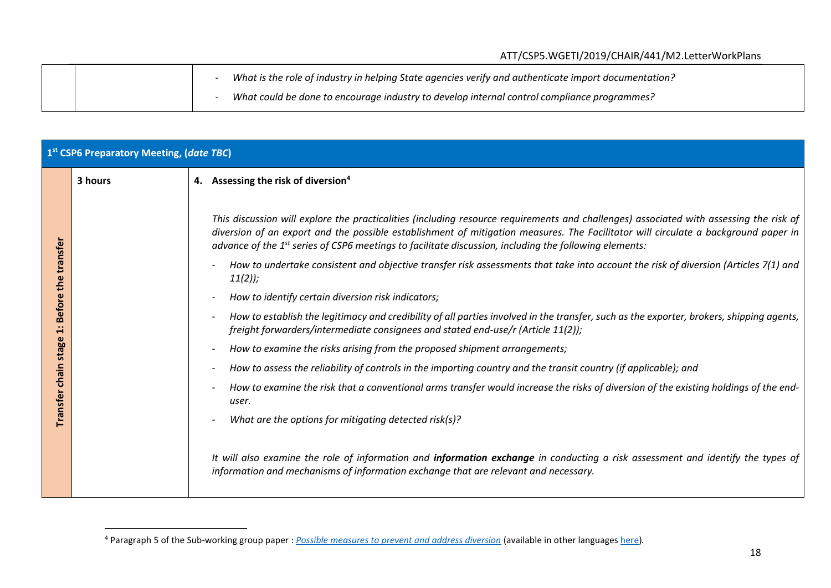|  | What is the role of industry in helping State agencies verify and authenticate import documentation? |
|--|------------------------------------------------------------------------------------------------------|
|  | What could be done to encourage industry to develop internal control compliance programmes?          |

|                    | 1 <sup>st</sup> CSP6 Preparatory Meeting, (date TBC) |                                                                                                                                                                                                                                                                                                                                                                                                    |  |
|--------------------|------------------------------------------------------|----------------------------------------------------------------------------------------------------------------------------------------------------------------------------------------------------------------------------------------------------------------------------------------------------------------------------------------------------------------------------------------------------|--|
|                    | 3 hours                                              | 4. Assessing the risk of diversion <sup>4</sup>                                                                                                                                                                                                                                                                                                                                                    |  |
|                    |                                                      | This discussion will explore the practicalities (including resource requirements and challenges) associated with assessing the risk of<br>diversion of an export and the possible establishment of mitigation measures. The Facilitator will circulate a background paper in<br>advance of the 1 <sup>st</sup> series of CSP6 meetings to facilitate discussion, including the following elements: |  |
| transfer<br>the    |                                                      | How to undertake consistent and objective transfer risk assessments that take into account the risk of diversion (Articles 7(1) and<br>$11(2)$ ;                                                                                                                                                                                                                                                   |  |
|                    |                                                      | How to identify certain diversion risk indicators;                                                                                                                                                                                                                                                                                                                                                 |  |
| <b>Before</b><br>1 |                                                      | How to establish the legitimacy and credibility of all parties involved in the transfer, such as the exporter, brokers, shipping agents,<br>freight forwarders/intermediate consignees and stated end-use/r (Article 11(2));                                                                                                                                                                       |  |
| stage              |                                                      | How to examine the risks arising from the proposed shipment arrangements;                                                                                                                                                                                                                                                                                                                          |  |
| chain              |                                                      | How to assess the reliability of controls in the importing country and the transit country (if applicable); and                                                                                                                                                                                                                                                                                    |  |
| <b>Transfer</b>    |                                                      | How to examine the risk that a conventional arms transfer would increase the risks of diversion of the existing holdings of the end-<br>user.                                                                                                                                                                                                                                                      |  |
|                    |                                                      | What are the options for mitigating detected risk(s)?                                                                                                                                                                                                                                                                                                                                              |  |
|                    |                                                      | It will also examine the role of information and information exchange in conducting a risk assessment and identify the types of<br>information and mechanisms of information exchange that are relevant and necessary.                                                                                                                                                                             |  |

<sup>4</sup> Paragraph 5 of the Sub-working group paper : *[Possible measures to prevent and address diversion](https://www.thearmstradetreaty.org/hyper-images/file/Article%2011%20-%20Possible%20measures%20to%20prevent%20and%20address%20diversion/Article%2011%20-%20Possible%20measures%20to%20prevent%20and%20address%20diversion.pdf)* (available in other languages [here\)](https://www.thearmstradetreaty.org/tools-and-guidelines.html)*.*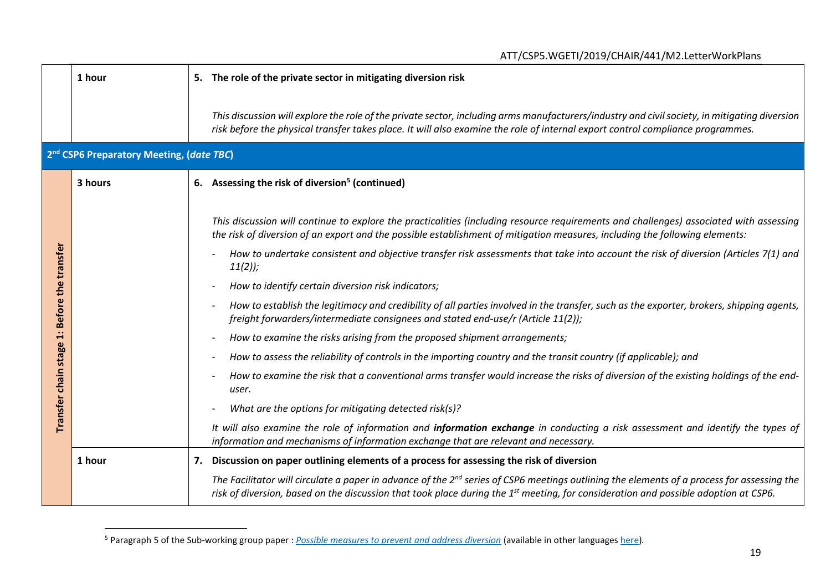|                                             |                                                      | ATT/CSP5.WGETI/2019/CHAIR/441/M2.LetterWorkPlans                                                                                                                                                                                                                                                                                                                                                                                                                                                                                                                                                                                                                                                                                                                                                                                                                                                                                                                                                                                                                                                                                                                                                                                                                                                                                                    |
|---------------------------------------------|------------------------------------------------------|-----------------------------------------------------------------------------------------------------------------------------------------------------------------------------------------------------------------------------------------------------------------------------------------------------------------------------------------------------------------------------------------------------------------------------------------------------------------------------------------------------------------------------------------------------------------------------------------------------------------------------------------------------------------------------------------------------------------------------------------------------------------------------------------------------------------------------------------------------------------------------------------------------------------------------------------------------------------------------------------------------------------------------------------------------------------------------------------------------------------------------------------------------------------------------------------------------------------------------------------------------------------------------------------------------------------------------------------------------|
|                                             | 1 hour                                               | 5. The role of the private sector in mitigating diversion risk                                                                                                                                                                                                                                                                                                                                                                                                                                                                                                                                                                                                                                                                                                                                                                                                                                                                                                                                                                                                                                                                                                                                                                                                                                                                                      |
|                                             |                                                      | This discussion will explore the role of the private sector, including arms manufacturers/industry and civil society, in mitigating diversion<br>risk before the physical transfer takes place. It will also examine the role of internal export control compliance programmes.                                                                                                                                                                                                                                                                                                                                                                                                                                                                                                                                                                                                                                                                                                                                                                                                                                                                                                                                                                                                                                                                     |
|                                             | 2 <sup>nd</sup> CSP6 Preparatory Meeting, (date TBC) |                                                                                                                                                                                                                                                                                                                                                                                                                                                                                                                                                                                                                                                                                                                                                                                                                                                                                                                                                                                                                                                                                                                                                                                                                                                                                                                                                     |
|                                             | 3 hours                                              | 6. Assessing the risk of diversion <sup>5</sup> (continued)                                                                                                                                                                                                                                                                                                                                                                                                                                                                                                                                                                                                                                                                                                                                                                                                                                                                                                                                                                                                                                                                                                                                                                                                                                                                                         |
| Transfer chain stage 1: Before the transfer |                                                      | This discussion will continue to explore the practicalities (including resource requirements and challenges) associated with assessing<br>the risk of diversion of an export and the possible establishment of mitigation measures, including the following elements:<br>How to undertake consistent and objective transfer risk assessments that take into account the risk of diversion (Articles 7(1) and<br>$11(2)$ ;<br>How to identify certain diversion risk indicators;<br>How to establish the legitimacy and credibility of all parties involved in the transfer, such as the exporter, brokers, shipping agents,<br>freight forwarders/intermediate consignees and stated end-use/r (Article 11(2));<br>How to examine the risks arising from the proposed shipment arrangements;<br>How to assess the reliability of controls in the importing country and the transit country (if applicable); and<br>How to examine the risk that a conventional arms transfer would increase the risks of diversion of the existing holdings of the end-<br>user.<br>What are the options for mitigating detected risk(s)?<br>It will also examine the role of information and information exchange in conducting a risk assessment and identify the types of<br>information and mechanisms of information exchange that are relevant and necessary. |
|                                             | 1 hour                                               | 7. Discussion on paper outlining elements of a process for assessing the risk of diversion                                                                                                                                                                                                                                                                                                                                                                                                                                                                                                                                                                                                                                                                                                                                                                                                                                                                                                                                                                                                                                                                                                                                                                                                                                                          |
|                                             |                                                      | The Facilitator will circulate a paper in advance of the $2^{nd}$ series of CSP6 meetings outlining the elements of a process for assessing the<br>risk of diversion, based on the discussion that took place during the 1 <sup>st</sup> meeting, for consideration and possible adoption at CSP6.                                                                                                                                                                                                                                                                                                                                                                                                                                                                                                                                                                                                                                                                                                                                                                                                                                                                                                                                                                                                                                                  |

<sup>5</sup> Paragraph 5 of the Sub-working group paper : *[Possible measures to prevent and address diversion](https://www.thearmstradetreaty.org/hyper-images/file/Article%2011%20-%20Possible%20measures%20to%20prevent%20and%20address%20diversion/Article%2011%20-%20Possible%20measures%20to%20prevent%20and%20address%20diversion.pdf)* (available in other languages [here\)](https://www.thearmstradetreaty.org/tools-and-guidelines.html)*.*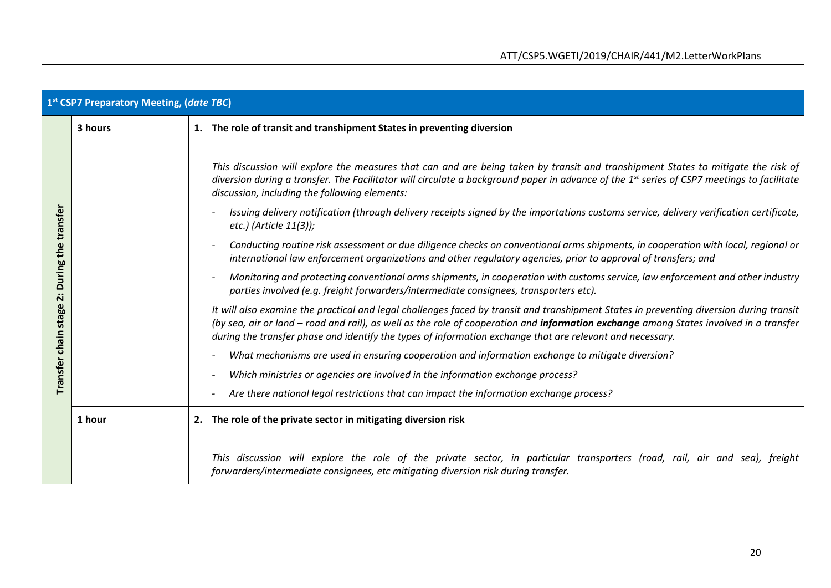|                      | 1st CSP7 Preparatory Meeting, (date TBC) |  |                                                                                                                                                                                                                                                                                                                                                                                                |
|----------------------|------------------------------------------|--|------------------------------------------------------------------------------------------------------------------------------------------------------------------------------------------------------------------------------------------------------------------------------------------------------------------------------------------------------------------------------------------------|
|                      | 3 hours                                  |  | 1. The role of transit and transhipment States in preventing diversion                                                                                                                                                                                                                                                                                                                         |
|                      |                                          |  | This discussion will explore the measures that can and are being taken by transit and transhipment States to mitigate the risk of<br>diversion during a transfer. The Facilitator will circulate a background paper in advance of the 1 <sup>st</sup> series of CSP7 meetings to facilitate<br>discussion, including the following elements:                                                   |
|                      |                                          |  | Issuing delivery notification (through delivery receipts signed by the importations customs service, delivery verification certificate,<br>etc.) (Article 11(3));                                                                                                                                                                                                                              |
| During the transfer  |                                          |  | Conducting routine risk assessment or due diligence checks on conventional arms shipments, in cooperation with local, regional or<br>international law enforcement organizations and other regulatory agencies, prior to approval of transfers; and                                                                                                                                            |
| ä                    |                                          |  | Monitoring and protecting conventional arms shipments, in cooperation with customs service, law enforcement and other industry<br>parties involved (e.g. freight forwarders/intermediate consignees, transporters etc).                                                                                                                                                                        |
| Transfer chain stage |                                          |  | It will also examine the practical and legal challenges faced by transit and transhipment States in preventing diversion during transit<br>(by sea, air or land – road and rail), as well as the role of cooperation and information exchange among States involved in a transfer<br>during the transfer phase and identify the types of information exchange that are relevant and necessary. |
|                      |                                          |  | What mechanisms are used in ensuring cooperation and information exchange to mitigate diversion?                                                                                                                                                                                                                                                                                               |
|                      |                                          |  | Which ministries or agencies are involved in the information exchange process?                                                                                                                                                                                                                                                                                                                 |
|                      |                                          |  | Are there national legal restrictions that can impact the information exchange process?                                                                                                                                                                                                                                                                                                        |
|                      | 1 hour                                   |  | 2. The role of the private sector in mitigating diversion risk                                                                                                                                                                                                                                                                                                                                 |
|                      |                                          |  | This discussion will explore the role of the private sector, in particular transporters (road, rail, air and sea), freight<br>forwarders/intermediate consignees, etc mitigating diversion risk during transfer.                                                                                                                                                                               |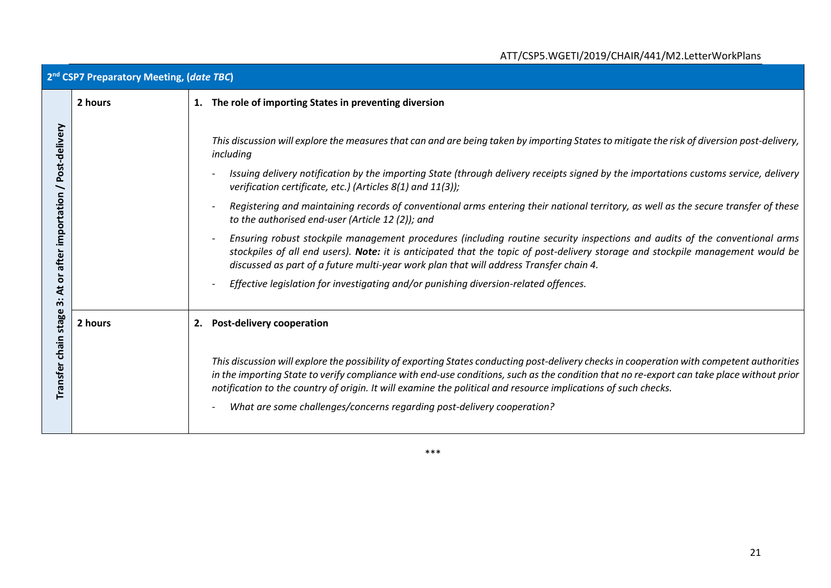# ATT/CSP5.WGETI/2019/CHAIR/441/M2.LetterWorkPlans

| 2 <sup>nd</sup> CSP7 Preparatory Meeting, (date TBC) |                                                                                                                                                                                                                                                                                                                                                                                                                                                                                                                                                                                                                                                                                                                                                                                                                                                                                                                                                                                                               |
|------------------------------------------------------|---------------------------------------------------------------------------------------------------------------------------------------------------------------------------------------------------------------------------------------------------------------------------------------------------------------------------------------------------------------------------------------------------------------------------------------------------------------------------------------------------------------------------------------------------------------------------------------------------------------------------------------------------------------------------------------------------------------------------------------------------------------------------------------------------------------------------------------------------------------------------------------------------------------------------------------------------------------------------------------------------------------|
| 2 hours                                              | 1. The role of importing States in preventing diversion                                                                                                                                                                                                                                                                                                                                                                                                                                                                                                                                                                                                                                                                                                                                                                                                                                                                                                                                                       |
|                                                      | This discussion will explore the measures that can and are being taken by importing States to mitigate the risk of diversion post-delivery,<br>including<br>Issuing delivery notification by the importing State (through delivery receipts signed by the importations customs service, delivery<br>verification certificate, etc.) (Articles 8(1) and 11(3));<br>Registering and maintaining records of conventional arms entering their national territory, as well as the secure transfer of these<br>to the authorised end-user (Article 12 (2)); and<br>Ensuring robust stockpile management procedures (including routine security inspections and audits of the conventional arms<br>stockpiles of all end users). Note: it is anticipated that the topic of post-delivery storage and stockpile management would be<br>discussed as part of a future multi-year work plan that will address Transfer chain 4.<br>Effective legislation for investigating and/or punishing diversion-related offences. |
| 2 hours                                              | <b>Post-delivery cooperation</b><br>2.                                                                                                                                                                                                                                                                                                                                                                                                                                                                                                                                                                                                                                                                                                                                                                                                                                                                                                                                                                        |
|                                                      | This discussion will explore the possibility of exporting States conducting post-delivery checks in cooperation with competent authorities<br>in the importing State to verify compliance with end-use conditions, such as the condition that no re-export can take place without prior<br>notification to the country of origin. It will examine the political and resource implications of such checks.<br>What are some challenges/concerns regarding post-delivery cooperation?                                                                                                                                                                                                                                                                                                                                                                                                                                                                                                                           |
|                                                      |                                                                                                                                                                                                                                                                                                                                                                                                                                                                                                                                                                                                                                                                                                                                                                                                                                                                                                                                                                                                               |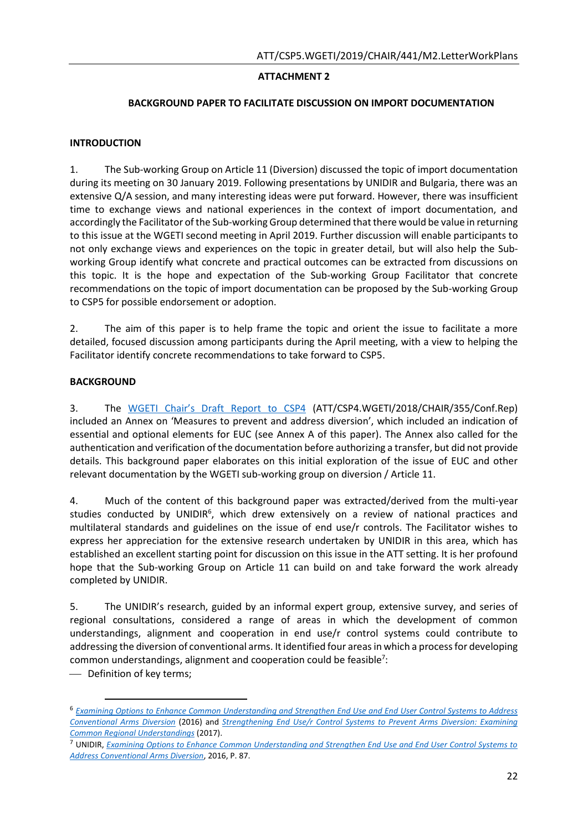## **ATTACHMENT 2**

#### **BACKGROUND PAPER TO FACILITATE DISCUSSION ON IMPORT DOCUMENTATION**

### **INTRODUCTION**

1. The Sub-working Group on Article 11 (Diversion) discussed the topic of import documentation during its meeting on 30 January 2019. Following presentations by UNIDIR and Bulgaria, there was an extensive Q/A session, and many interesting ideas were put forward. However, there was insufficient time to exchange views and national experiences in the context of import documentation, and accordingly the Facilitator of the Sub-working Group determined that there would be value in returning to this issue at the WGETI second meeting in April 2019. Further discussion will enable participants to not only exchange views and experiences on the topic in greater detail, but will also help the Subworking Group identify what concrete and practical outcomes can be extracted from discussions on this topic. It is the hope and expectation of the Sub-working Group Facilitator that concrete recommendations on the topic of import documentation can be proposed by the Sub-working Group to CSP5 for possible endorsement or adoption.

2. The aim of this paper is to help frame the topic and orient the issue to facilitate a more detailed, focused discussion among participants during the April meeting, with a view to helping the Facilitator identify concrete recommendations to take forward to CSP5.

### **BACKGROUND**

3. The [WGETI Chair's Draft Report to CSP4](https://www.thearmstradetreaty.org/hyper-images/file/ATT_CSP4_WGETI_Draft_Report_EN1/ATT_CSP4_WGETI_Draft_Report_EN.pdf) (ATT/CSP4.WGETI/2018/CHAIR/355/Conf.Rep) included an Annex on 'Measures to prevent and address diversion', which included an indication of essential and optional elements for EUC (see Annex A of this paper). The Annex also called for the authentication and verification of the documentation before authorizing a transfer, but did not provide details. This background paper elaborates on this initial exploration of the issue of EUC and other relevant documentation by the WGETI sub-working group on diversion / Article 11.

4. Much of the content of this background paper was extracted/derived from the multi-year studies conducted by UNIDIR<sup>6</sup>, which drew extensively on a review of national practices and multilateral standards and guidelines on the issue of end use/r controls. The Facilitator wishes to express her appreciation for the extensive research undertaken by UNIDIR in this area, which has established an excellent starting point for discussion on this issue in the ATT setting. It is her profound hope that the Sub-working Group on Article 11 can build on and take forward the work already completed by UNIDIR.

5. The UNIDIR's research, guided by an informal expert group, extensive survey, and series of regional consultations, considered a range of areas in which the development of common understandings, alignment and cooperation in end use/r control systems could contribute to addressing the diversion of conventional arms. It identified four areas in which a process for developing common understandings, alignment and cooperation could be feasible<sup>7</sup>:

- Definition of key terms;

l

<sup>6</sup> *[Examining Options to Enhance Common Understanding and Strengthen End Use and End User Control Systems to Address](http://www.unidir.org/files/publications/pdfs/final-euc-2015-en-649.pdf)  [Conventional Arms Diversion](http://www.unidir.org/files/publications/pdfs/final-euc-2015-en-649.pdf)* (2016) and *[Strengthening End Use/r Control Systems to Prevent Arms Diversion: Examining](http://unidir.org/files/publications/pdfs/strengthening-end-use-r-control-systems-to-prevent-arms-diversion-en-686.pdf)  [Common Regional Understandings](http://unidir.org/files/publications/pdfs/strengthening-end-use-r-control-systems-to-prevent-arms-diversion-en-686.pdf)* (2017).

<sup>7</sup> UNIDIR, *[Examining Options to Enhance Common Understanding and Strengthen End Use and End User Control Systems to](http://www.unidir.org/files/publications/pdfs/final-euc-2015-en-649.pdf)  [Address Conventional Arms Diversion](http://www.unidir.org/files/publications/pdfs/final-euc-2015-en-649.pdf)*, 2016, P. 87.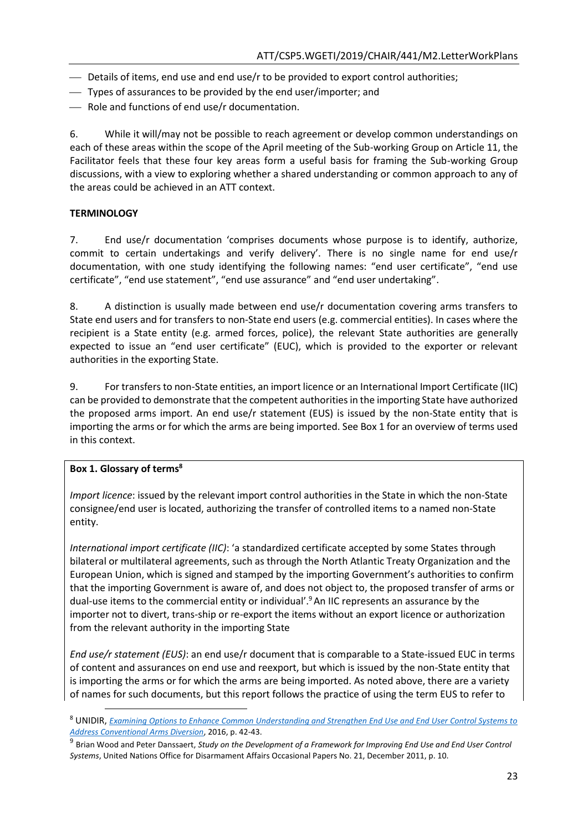- $\rightharpoonup$  Details of items, end use and end use/r to be provided to export control authorities;
- Types of assurances to be provided by the end user/importer; and
- Role and functions of end use/r documentation.

6. While it will/may not be possible to reach agreement or develop common understandings on each of these areas within the scope of the April meeting of the Sub-working Group on Article 11, the Facilitator feels that these four key areas form a useful basis for framing the Sub-working Group discussions, with a view to exploring whether a shared understanding or common approach to any of the areas could be achieved in an ATT context.

## **TERMINOLOGY**

7. End use/r documentation 'comprises documents whose purpose is to identify, authorize, commit to certain undertakings and verify delivery'. There is no single name for end use/r documentation, with one study identifying the following names: "end user certificate", "end use certificate", "end use statement", "end use assurance" and "end user undertaking".

8. A distinction is usually made between end use/r documentation covering arms transfers to State end users and for transfers to non-State end users (e.g. commercial entities). In cases where the recipient is a State entity (e.g. armed forces, police), the relevant State authorities are generally expected to issue an "end user certificate" (EUC), which is provided to the exporter or relevant authorities in the exporting State.

9. For transfers to non-State entities, an import licence or an International Import Certificate (IIC) can be provided to demonstrate that the competent authorities in the importing State have authorized the proposed arms import. An end use/r statement (EUS) is issued by the non-State entity that is importing the arms or for which the arms are being imported. See Box 1 for an overview of terms used in this context.

#### **Box 1. Glossary of terms<sup>8</sup>**

 $\overline{\phantom{a}}$ 

*Import licence*: issued by the relevant import control authorities in the State in which the non-State consignee/end user is located, authorizing the transfer of controlled items to a named non-State entity.

*International import certificate (IIC)*: 'a standardized certificate accepted by some States through bilateral or multilateral agreements, such as through the North Atlantic Treaty Organization and the European Union, which is signed and stamped by the importing Government's authorities to confirm that the importing Government is aware of, and does not object to, the proposed transfer of arms or dual-use items to the commercial entity or individual'.<sup>9</sup>An IIC represents an assurance by the importer not to divert, trans-ship or re-export the items without an export licence or authorization from the relevant authority in the importing State

*End use/r statement (EUS)*: an end use/r document that is comparable to a State-issued EUC in terms of content and assurances on end use and reexport, but which is issued by the non-State entity that is importing the arms or for which the arms are being imported. As noted above, there are a variety of names for such documents, but this report follows the practice of using the term EUS to refer to

<sup>8</sup> UNIDIR, *[Examining Options to Enhance Common Understanding and Strengthen End Use and End User Control Systems to](http://www.unidir.org/files/publications/pdfs/final-euc-2015-en-649.pdf)  [Address Conventional Arms Diversion](http://www.unidir.org/files/publications/pdfs/final-euc-2015-en-649.pdf)*, 2016, p. 42-43.

<sup>&</sup>lt;sup>9</sup> Brian Wood and Peter Danssaert, *Study on the Development of a Framework for Improving End Use and End User Control Systems*, United Nations Office for Disarmament Affairs Occasional Papers No. 21, December 2011, p. 10.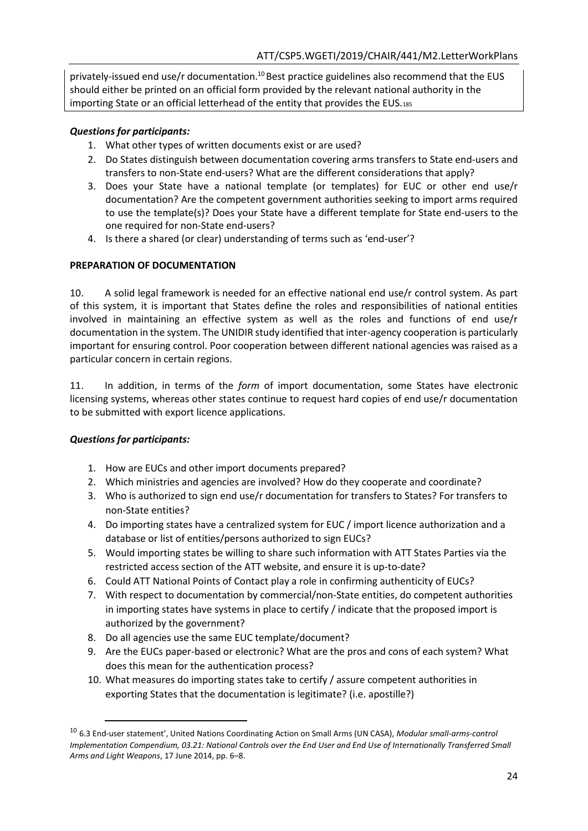privately-issued end use/r documentation.<sup>10</sup> Best practice guidelines also recommend that the EUS should either be printed on an official form provided by the relevant national authority in the importing State or an official letterhead of the entity that provides the EUS.<sup>185</sup>

## *Questions for participants:*

- 1. What other types of written documents exist or are used?
- 2. Do States distinguish between documentation covering arms transfers to State end-users and transfers to non-State end-users? What are the different considerations that apply?
- 3. Does your State have a national template (or templates) for EUC or other end use/r documentation? Are the competent government authorities seeking to import arms required to use the template(s)? Does your State have a different template for State end-users to the one required for non-State end-users?
- 4. Is there a shared (or clear) understanding of terms such as 'end-user'?

### **PREPARATION OF DOCUMENTATION**

10. A solid legal framework is needed for an effective national end use/r control system. As part of this system, it is important that States define the roles and responsibilities of national entities involved in maintaining an effective system as well as the roles and functions of end use/r documentation in the system. The UNIDIR study identified that inter-agency cooperation is particularly important for ensuring control. Poor cooperation between different national agencies was raised as a particular concern in certain regions.

11. In addition, in terms of the *form* of import documentation, some States have electronic licensing systems, whereas other states continue to request hard copies of end use/r documentation to be submitted with export licence applications.

## *Questions for participants:*

 $\overline{a}$ 

- 1. How are EUCs and other import documents prepared?
- 2. Which ministries and agencies are involved? How do they cooperate and coordinate?
- 3. Who is authorized to sign end use/r documentation for transfers to States? For transfers to non-State entities?
- 4. Do importing states have a centralized system for EUC / import licence authorization and a database or list of entities/persons authorized to sign EUCs?
- 5. Would importing states be willing to share such information with ATT States Parties via the restricted access section of the ATT website, and ensure it is up-to-date?
- 6. Could ATT National Points of Contact play a role in confirming authenticity of EUCs?
- 7. With respect to documentation by commercial/non-State entities, do competent authorities in importing states have systems in place to certify / indicate that the proposed import is authorized by the government?
- 8. Do all agencies use the same EUC template/document?
- 9. Are the EUCs paper-based or electronic? What are the pros and cons of each system? What does this mean for the authentication process?
- 10. What measures do importing states take to certify / assure competent authorities in exporting States that the documentation is legitimate? (i.e. apostille?)

<sup>10</sup> 6.3 End-user statement', United Nations Coordinating Action on Small Arms (UN CASA), *Modular small-arms-control Implementation Compendium, 03.21: National Controls over the End User and End Use of Internationally Transferred Small Arms and Light Weapons*, 17 June 2014, pp. 6–8.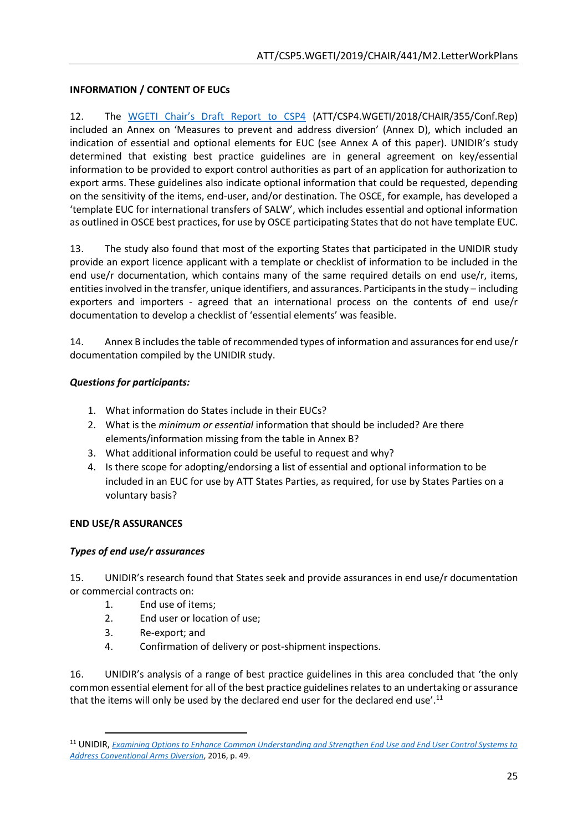## **INFORMATION / CONTENT OF EUCs**

12. The [WGETI Chair's Draft Report to CSP4](https://www.thearmstradetreaty.org/hyper-images/file/ATT_CSP4_WGETI_Draft_Report_EN1/ATT_CSP4_WGETI_Draft_Report_EN.pdf) (ATT/CSP4.WGETI/2018/CHAIR/355/Conf.Rep) included an Annex on 'Measures to prevent and address diversion' (Annex D), which included an indication of essential and optional elements for EUC (see Annex A of this paper). UNIDIR's study determined that existing best practice guidelines are in general agreement on key/essential information to be provided to export control authorities as part of an application for authorization to export arms. These guidelines also indicate optional information that could be requested, depending on the sensitivity of the items, end-user, and/or destination. The OSCE, for example, has developed a 'template EUC for international transfers of SALW', which includes essential and optional information as outlined in OSCE best practices, for use by OSCE participating States that do not have template EUC.

13. The study also found that most of the exporting States that participated in the UNIDIR study provide an export licence applicant with a template or checklist of information to be included in the end use/r documentation, which contains many of the same required details on end use/r, items, entities involved in the transfer, unique identifiers, and assurances. Participants in the study – including exporters and importers - agreed that an international process on the contents of end use/r documentation to develop a checklist of 'essential elements' was feasible.

14. Annex B includes the table of recommended types of information and assurances for end use/r documentation compiled by the UNIDIR study.

## *Questions for participants:*

- 1. What information do States include in their EUCs?
- 2. What is the *minimum or essential* information that should be included? Are there elements/information missing from the table in Annex B?
- 3. What additional information could be useful to request and why?
- 4. Is there scope for adopting/endorsing a list of essential and optional information to be included in an EUC for use by ATT States Parties, as required, for use by States Parties on a voluntary basis?

## **END USE/R ASSURANCES**

 $\overline{\phantom{a}}$ 

## *Types of end use/r assurances*

15. UNIDIR's research found that States seek and provide assurances in end use/r documentation or commercial contracts on:

- 1. End use of items;
- 2. End user or location of use;
- 3. Re-export; and
- 4. Confirmation of delivery or post-shipment inspections.

16. UNIDIR's analysis of a range of best practice guidelines in this area concluded that 'the only common essential element for all of the best practice guidelines relates to an undertaking or assurance that the items will only be used by the declared end user for the declared end use'.<sup>11</sup>

<sup>11</sup> UNIDIR, *[Examining Options to Enhance Common Understanding and Strengthen End Use and End User Control Systems to](http://www.unidir.org/files/publications/pdfs/final-euc-2015-en-649.pdf)  [Address Conventional Arms Diversion](http://www.unidir.org/files/publications/pdfs/final-euc-2015-en-649.pdf)*, 2016, p. 49.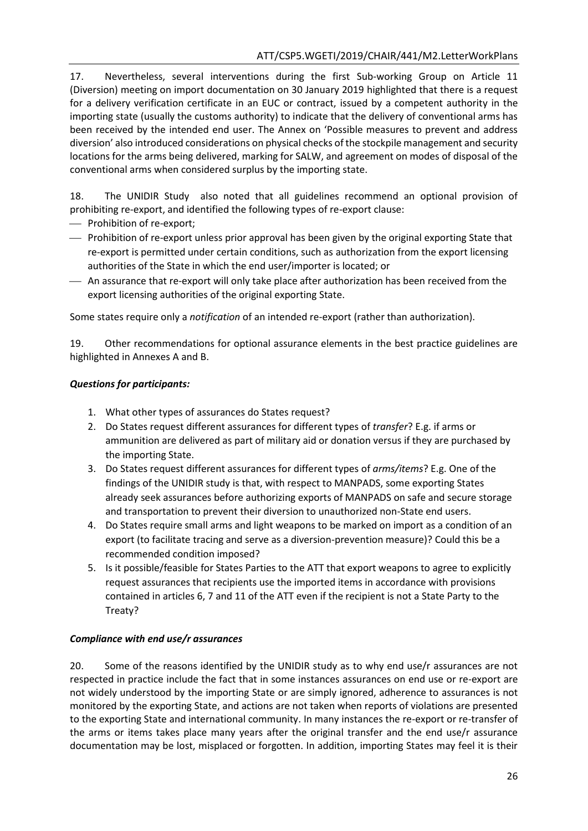17. Nevertheless, several interventions during the first Sub-working Group on Article 11 (Diversion) meeting on import documentation on 30 January 2019 highlighted that there is a request for a delivery verification certificate in an EUC or contract, issued by a competent authority in the importing state (usually the customs authority) to indicate that the delivery of conventional arms has been received by the intended end user. The Annex on 'Possible measures to prevent and address diversion' also introduced considerations on physical checks of the stockpile management and security locations for the arms being delivered, marking for SALW, and agreement on modes of disposal of the conventional arms when considered surplus by the importing state.

18. The UNIDIR Study also noted that all guidelines recommend an optional provision of prohibiting re-export, and identified the following types of re-export clause:

- Prohibition of re-export;
- Prohibition of re-export unless prior approval has been given by the original exporting State that re-export is permitted under certain conditions, such as authorization from the export licensing authorities of the State in which the end user/importer is located; or
- An assurance that re-export will only take place after authorization has been received from the export licensing authorities of the original exporting State.

Some states require only a *notification* of an intended re-export (rather than authorization).

19. Other recommendations for optional assurance elements in the best practice guidelines are highlighted in Annexes A and B.

# *Questions for participants:*

- 1. What other types of assurances do States request?
- 2. Do States request different assurances for different types of *transfer*? E.g. if arms or ammunition are delivered as part of military aid or donation versus if they are purchased by the importing State.
- 3. Do States request different assurances for different types of *arms/items*? E.g. One of the findings of the UNIDIR study is that, with respect to MANPADS, some exporting States already seek assurances before authorizing exports of MANPADS on safe and secure storage and transportation to prevent their diversion to unauthorized non-State end users.
- 4. Do States require small arms and light weapons to be marked on import as a condition of an export (to facilitate tracing and serve as a diversion-prevention measure)? Could this be a recommended condition imposed?
- 5. Is it possible/feasible for States Parties to the ATT that export weapons to agree to explicitly request assurances that recipients use the imported items in accordance with provisions contained in articles 6, 7 and 11 of the ATT even if the recipient is not a State Party to the Treaty?

# *Compliance with end use/r assurances*

20. Some of the reasons identified by the UNIDIR study as to why end use/r assurances are not respected in practice include the fact that in some instances assurances on end use or re-export are not widely understood by the importing State or are simply ignored, adherence to assurances is not monitored by the exporting State, and actions are not taken when reports of violations are presented to the exporting State and international community. In many instances the re-export or re-transfer of the arms or items takes place many years after the original transfer and the end use/r assurance documentation may be lost, misplaced or forgotten. In addition, importing States may feel it is their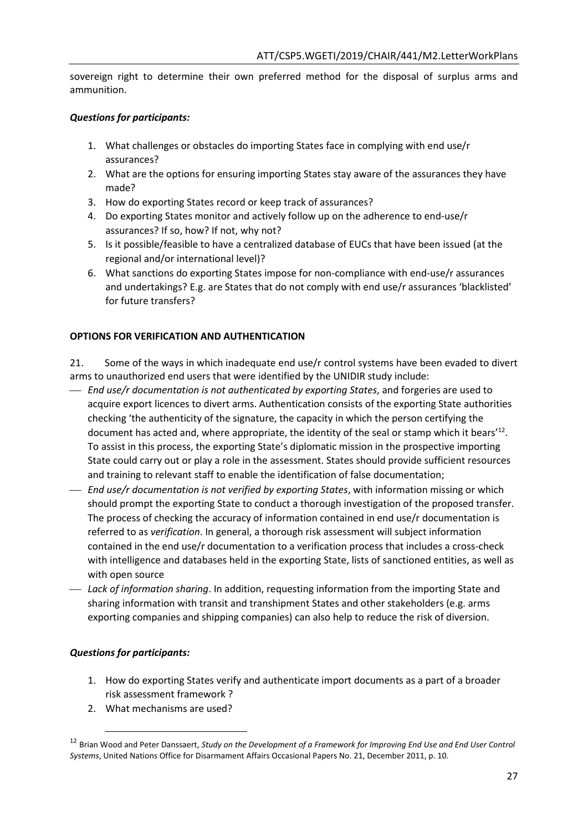sovereign right to determine their own preferred method for the disposal of surplus arms and ammunition.

## *Questions for participants:*

- 1. What challenges or obstacles do importing States face in complying with end use/r assurances?
- 2. What are the options for ensuring importing States stay aware of the assurances they have made?
- 3. How do exporting States record or keep track of assurances?
- 4. Do exporting States monitor and actively follow up on the adherence to end-use/r assurances? If so, how? If not, why not?
- 5. Is it possible/feasible to have a centralized database of EUCs that have been issued (at the regional and/or international level)?
- 6. What sanctions do exporting States impose for non-compliance with end-use/r assurances and undertakings? E.g. are States that do not comply with end use/r assurances 'blacklisted' for future transfers?

## **OPTIONS FOR VERIFICATION AND AUTHENTICATION**

21. Some of the ways in which inadequate end use/r control systems have been evaded to divert arms to unauthorized end users that were identified by the UNIDIR study include:

- *End use/r documentation is not authenticated by exporting States*, and forgeries are used to acquire export licences to divert arms. Authentication consists of the exporting State authorities checking 'the authenticity of the signature, the capacity in which the person certifying the document has acted and, where appropriate, the identity of the seal or stamp which it bears<sup>'12</sup>. To assist in this process, the exporting State's diplomatic mission in the prospective importing State could carry out or play a role in the assessment. States should provide sufficient resources and training to relevant staff to enable the identification of false documentation;
- *End use/r documentation is not verified by exporting States*, with information missing or which should prompt the exporting State to conduct a thorough investigation of the proposed transfer. The process of checking the accuracy of information contained in end use/r documentation is referred to as *verification*. In general, a thorough risk assessment will subject information contained in the end use/r documentation to a verification process that includes a cross-check with intelligence and databases held in the exporting State, lists of sanctioned entities, as well as with open source
- *Lack of information sharing*. In addition, requesting information from the importing State and sharing information with transit and transhipment States and other stakeholders (e.g. arms exporting companies and shipping companies) can also help to reduce the risk of diversion.

## *Questions for participants:*

- 1. How do exporting States verify and authenticate import documents as a part of a broader risk assessment framework ?
- 2. What mechanisms are used?

<sup>12</sup> Brian Wood and Peter Danssaert, *Study on the Development of a Framework for Improving End Use and End User Control Systems*, United Nations Office for Disarmament Affairs Occasional Papers No. 21, December 2011, p. 10.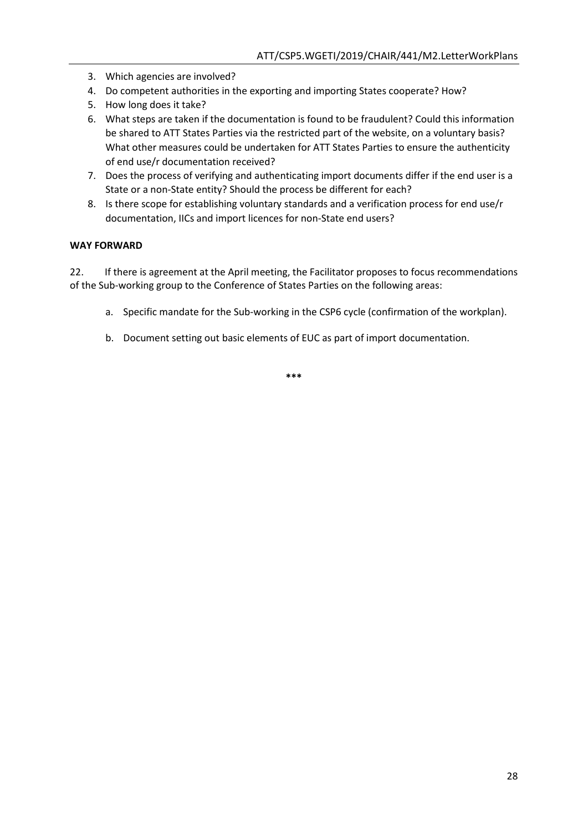- 3. Which agencies are involved?
- 4. Do competent authorities in the exporting and importing States cooperate? How?
- 5. How long does it take?
- 6. What steps are taken if the documentation is found to be fraudulent? Could this information be shared to ATT States Parties via the restricted part of the website, on a voluntary basis? What other measures could be undertaken for ATT States Parties to ensure the authenticity of end use/r documentation received?
- 7. Does the process of verifying and authenticating import documents differ if the end user is a State or a non-State entity? Should the process be different for each?
- 8. Is there scope for establishing voluntary standards and a verification process for end use/r documentation, IICs and import licences for non-State end users?

#### **WAY FORWARD**

22. If there is agreement at the April meeting, the Facilitator proposes to focus recommendations of the Sub-working group to the Conference of States Parties on the following areas:

- a. Specific mandate for the Sub-working in the CSP6 cycle (confirmation of the workplan).
- b. Document setting out basic elements of EUC as part of import documentation.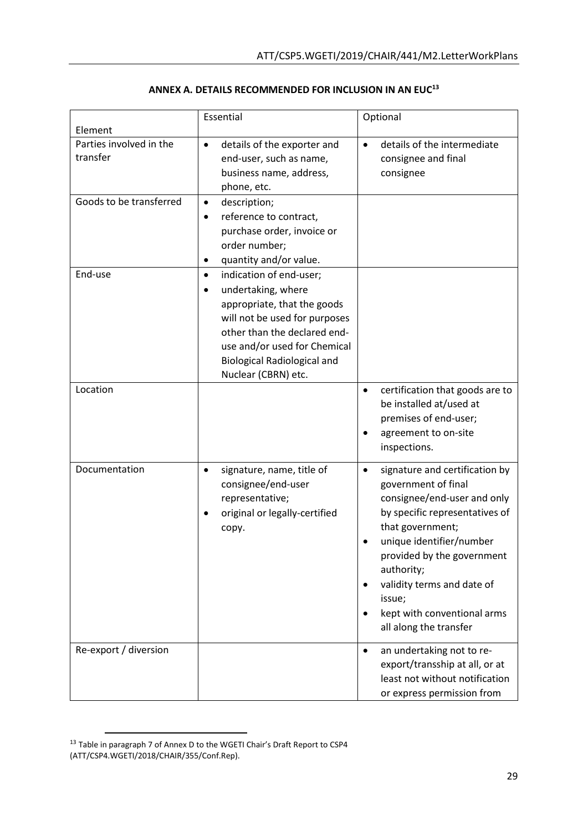|                                     | Essential                                                                                                                                                                                                                                                            | Optional                                                                                                                                                                                                                                                                                                            |  |
|-------------------------------------|----------------------------------------------------------------------------------------------------------------------------------------------------------------------------------------------------------------------------------------------------------------------|---------------------------------------------------------------------------------------------------------------------------------------------------------------------------------------------------------------------------------------------------------------------------------------------------------------------|--|
| Element                             |                                                                                                                                                                                                                                                                      |                                                                                                                                                                                                                                                                                                                     |  |
| Parties involved in the<br>transfer | details of the exporter and<br>$\bullet$<br>end-user, such as name,<br>business name, address,<br>phone, etc.                                                                                                                                                        | details of the intermediate<br>consignee and final<br>consignee                                                                                                                                                                                                                                                     |  |
| Goods to be transferred             | description;<br>$\bullet$<br>reference to contract,<br>$\bullet$<br>purchase order, invoice or<br>order number;<br>quantity and/or value.<br>٠                                                                                                                       |                                                                                                                                                                                                                                                                                                                     |  |
| End-use                             | indication of end-user;<br>$\bullet$<br>undertaking, where<br>$\bullet$<br>appropriate, that the goods<br>will not be used for purposes<br>other than the declared end-<br>use and/or used for Chemical<br><b>Biological Radiological and</b><br>Nuclear (CBRN) etc. |                                                                                                                                                                                                                                                                                                                     |  |
| Location                            |                                                                                                                                                                                                                                                                      | certification that goods are to<br>٠<br>be installed at/used at<br>premises of end-user;<br>agreement to on-site<br>inspections.                                                                                                                                                                                    |  |
| Documentation                       | signature, name, title of<br>consignee/end-user<br>representative;<br>original or legally-certified<br>сору.                                                                                                                                                         | signature and certification by<br>government of final<br>consignee/end-user and only<br>by specific representatives of<br>that government;<br>unique identifier/number<br>provided by the government<br>authority;<br>validity terms and date of<br>issue;<br>kept with conventional arms<br>all along the transfer |  |
| Re-export / diversion               |                                                                                                                                                                                                                                                                      | an undertaking not to re-<br>$\bullet$<br>export/transship at all, or at<br>least not without notification<br>or express permission from                                                                                                                                                                            |  |

## **ANNEX A. DETAILS RECOMMENDED FOR INCLUSION IN AN EUC<sup>13</sup>**

<sup>&</sup>lt;sup>13</sup> Table in paragraph 7 of Annex D to the WGETI Chair's Draft Report to CSP4 (ATT/CSP4.WGETI/2018/CHAIR/355/Conf.Rep).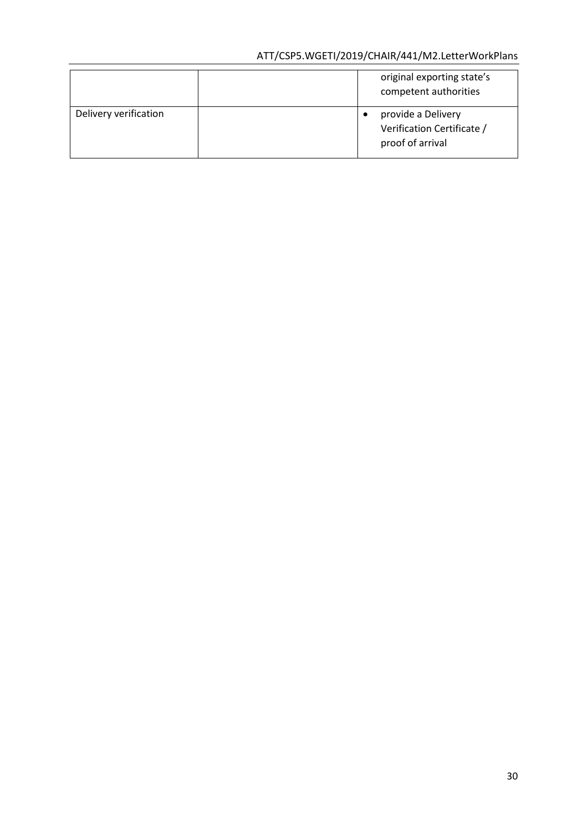# ATT/CSP5.WGETI/2019/CHAIR/441/M2.LetterWorkPlans

|                       | original exporting state's<br>competent authorities                  |
|-----------------------|----------------------------------------------------------------------|
| Delivery verification | provide a Delivery<br>Verification Certificate /<br>proof of arrival |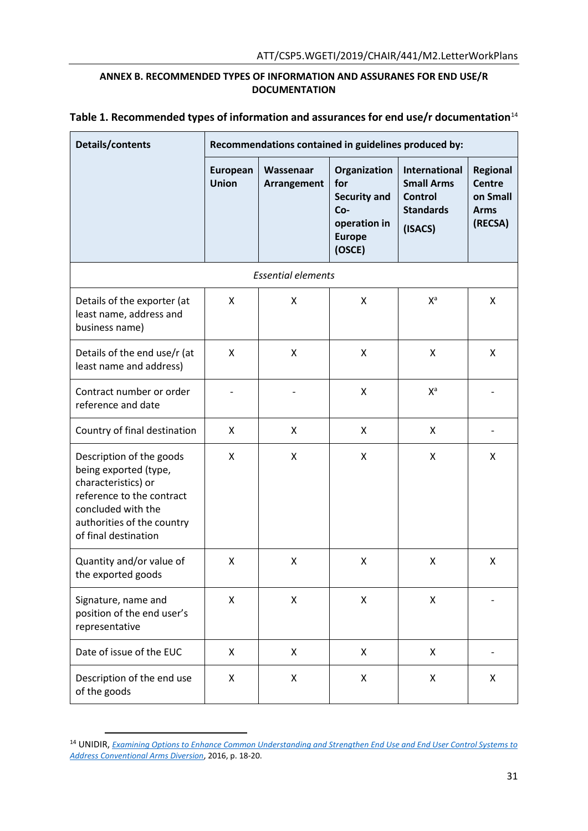## **ANNEX B. RECOMMENDED TYPES OF INFORMATION AND ASSURANES FOR END USE/R DOCUMENTATION**

| Table 1. Recommended types of information and assurances for end use/r documentation $^{14}$ |  |
|----------------------------------------------------------------------------------------------|--|
|----------------------------------------------------------------------------------------------|--|

| Details/contents                                                                                                                                                                  | Recommendations contained in guidelines produced by: |                          |                                                                                              |                                                                                            |                                                                        |  |  |
|-----------------------------------------------------------------------------------------------------------------------------------------------------------------------------------|------------------------------------------------------|--------------------------|----------------------------------------------------------------------------------------------|--------------------------------------------------------------------------------------------|------------------------------------------------------------------------|--|--|
|                                                                                                                                                                                   | European<br><b>Union</b>                             | Wassenaar<br>Arrangement | Organization<br>for<br><b>Security and</b><br>Co-<br>operation in<br><b>Europe</b><br>(OSCE) | <b>International</b><br><b>Small Arms</b><br><b>Control</b><br><b>Standards</b><br>(ISACS) | <b>Regional</b><br><b>Centre</b><br>on Small<br><b>Arms</b><br>(RECSA) |  |  |
| <b>Essential elements</b>                                                                                                                                                         |                                                      |                          |                                                                                              |                                                                                            |                                                                        |  |  |
| Details of the exporter (at<br>least name, address and<br>business name)                                                                                                          | X                                                    | X                        | X                                                                                            | $X^a$                                                                                      | X                                                                      |  |  |
| Details of the end use/r (at<br>least name and address)                                                                                                                           | X                                                    | X                        | X                                                                                            | X                                                                                          | X                                                                      |  |  |
| Contract number or order<br>reference and date                                                                                                                                    |                                                      |                          | X                                                                                            | $X^a$                                                                                      |                                                                        |  |  |
| Country of final destination                                                                                                                                                      | X                                                    | X                        | X                                                                                            | X                                                                                          |                                                                        |  |  |
| Description of the goods<br>being exported (type,<br>characteristics) or<br>reference to the contract<br>concluded with the<br>authorities of the country<br>of final destination | X                                                    | X                        | X                                                                                            | X                                                                                          | X                                                                      |  |  |
| Quantity and/or value of<br>the exported goods                                                                                                                                    | X                                                    | X                        | X                                                                                            | X                                                                                          | X                                                                      |  |  |
| Signature, name and<br>position of the end user's<br>representative                                                                                                               | X                                                    | X                        | Χ                                                                                            | X                                                                                          |                                                                        |  |  |
| Date of issue of the EUC                                                                                                                                                          | X                                                    | X                        | X                                                                                            | X                                                                                          |                                                                        |  |  |
| Description of the end use<br>of the goods                                                                                                                                        | X                                                    | X                        | X                                                                                            | X                                                                                          | X                                                                      |  |  |

<sup>14</sup> UNIDIR, *[Examining Options to Enhance Common Understanding and Strengthen End Use and End User Control Systems to](http://www.unidir.org/files/publications/pdfs/final-euc-2015-en-649.pdf)  [Address Conventional Arms Diversion](http://www.unidir.org/files/publications/pdfs/final-euc-2015-en-649.pdf)*, 2016, p. 18-20.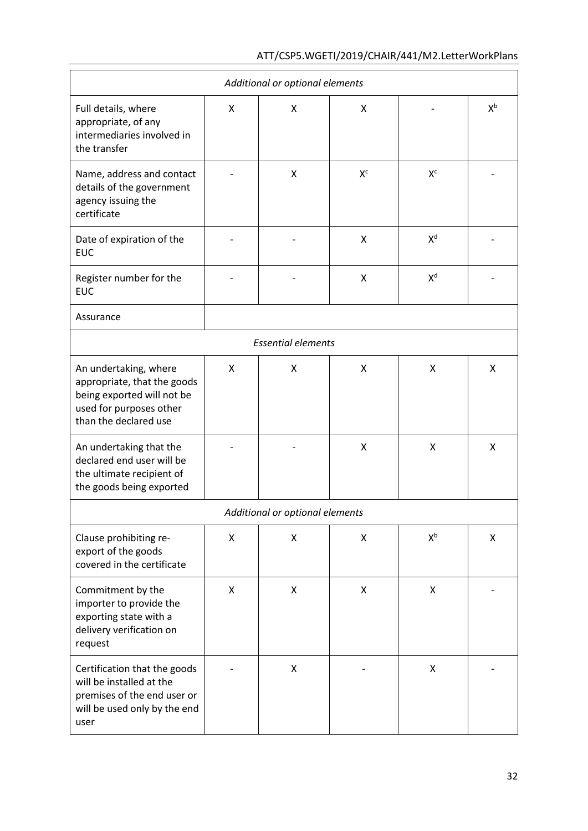| Additional or optional elements                                                                                                        |   |   |                |                           |       |  |
|----------------------------------------------------------------------------------------------------------------------------------------|---|---|----------------|---------------------------|-------|--|
| Full details, where<br>appropriate, of any<br>intermediaries involved in<br>the transfer                                               | X | X | X              |                           | $X^b$ |  |
| Name, address and contact<br>details of the government<br>agency issuing the<br>certificate                                            |   | X | X <sup>c</sup> | $X^c$                     |       |  |
| Date of expiration of the<br><b>EUC</b>                                                                                                |   |   | X              | X <sup>d</sup>            |       |  |
| Register number for the<br><b>EUC</b>                                                                                                  |   |   | X              | X <sup>d</sup>            |       |  |
| Assurance                                                                                                                              |   |   |                |                           |       |  |
| <b>Essential elements</b>                                                                                                              |   |   |                |                           |       |  |
| An undertaking, where<br>appropriate, that the goods<br>being exported will not be<br>used for purposes other<br>than the declared use | X | X | X              | Χ                         | x     |  |
| An undertaking that the<br>declared end user will be<br>the ultimate recipient of<br>the goods being exported                          |   |   | X              | Χ                         | X     |  |
| Additional or optional elements                                                                                                        |   |   |                |                           |       |  |
| Clause prohibiting re-<br>export of the goods<br>covered in the certificate                                                            | X | X | X              | $\mathsf{X}^{\mathsf{b}}$ | X     |  |
| Commitment by the<br>importer to provide the<br>exporting state with a<br>delivery verification on<br>request                          | X | X | X              | $\pmb{\mathsf{X}}$        |       |  |
| Certification that the goods<br>will be installed at the<br>premises of the end user or<br>will be used only by the end<br>user        |   | X |                | X                         |       |  |